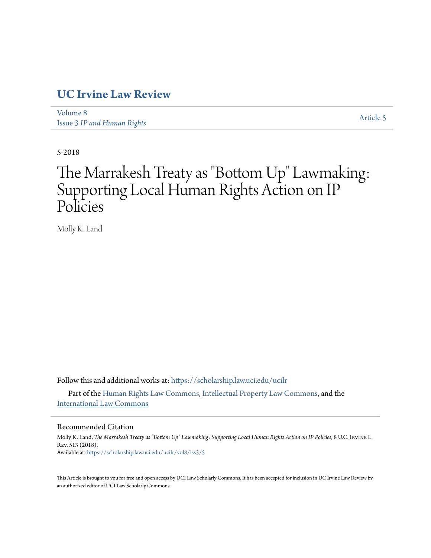# **[UC Irvine Law Review](https://scholarship.law.uci.edu/ucilr?utm_source=scholarship.law.uci.edu%2Fucilr%2Fvol8%2Fiss3%2F5&utm_medium=PDF&utm_campaign=PDFCoverPages)**

[Volume 8](https://scholarship.law.uci.edu/ucilr/vol8?utm_source=scholarship.law.uci.edu%2Fucilr%2Fvol8%2Fiss3%2F5&utm_medium=PDF&utm_campaign=PDFCoverPages) Issue 3 *[IP and Human Rights](https://scholarship.law.uci.edu/ucilr/vol8/iss3?utm_source=scholarship.law.uci.edu%2Fucilr%2Fvol8%2Fiss3%2F5&utm_medium=PDF&utm_campaign=PDFCoverPages)*

[Article 5](https://scholarship.law.uci.edu/ucilr/vol8/iss3/5?utm_source=scholarship.law.uci.edu%2Fucilr%2Fvol8%2Fiss3%2F5&utm_medium=PDF&utm_campaign=PDFCoverPages)

5-2018

# The Marrakesh Treaty as "Bottom Up" Lawmaking: Supporting Local Human Rights Action on IP Policies

Molly K. Land

Follow this and additional works at: [https://scholarship.law.uci.edu/ucilr](https://scholarship.law.uci.edu/ucilr?utm_source=scholarship.law.uci.edu%2Fucilr%2Fvol8%2Fiss3%2F5&utm_medium=PDF&utm_campaign=PDFCoverPages)

Part of the [Human Rights Law Commons,](http://network.bepress.com/hgg/discipline/847?utm_source=scholarship.law.uci.edu%2Fucilr%2Fvol8%2Fiss3%2F5&utm_medium=PDF&utm_campaign=PDFCoverPages) [Intellectual Property Law Commons](http://network.bepress.com/hgg/discipline/896?utm_source=scholarship.law.uci.edu%2Fucilr%2Fvol8%2Fiss3%2F5&utm_medium=PDF&utm_campaign=PDFCoverPages), and the [International Law Commons](http://network.bepress.com/hgg/discipline/609?utm_source=scholarship.law.uci.edu%2Fucilr%2Fvol8%2Fiss3%2F5&utm_medium=PDF&utm_campaign=PDFCoverPages)

# Recommended Citation

Molly K. Land, *The Marrakesh Treaty as "Bottom Up" Lawmaking: Supporting Local Human Rights Action on IP Policies*, 8 U.C. Irvine L. Rev. 513 (2018). Available at: [https://scholarship.law.uci.edu/ucilr/vol8/iss3/5](https://scholarship.law.uci.edu/ucilr/vol8/iss3/5?utm_source=scholarship.law.uci.edu%2Fucilr%2Fvol8%2Fiss3%2F5&utm_medium=PDF&utm_campaign=PDFCoverPages)

This Article is brought to you for free and open access by UCI Law Scholarly Commons. It has been accepted for inclusion in UC Irvine Law Review by an authorized editor of UCI Law Scholarly Commons.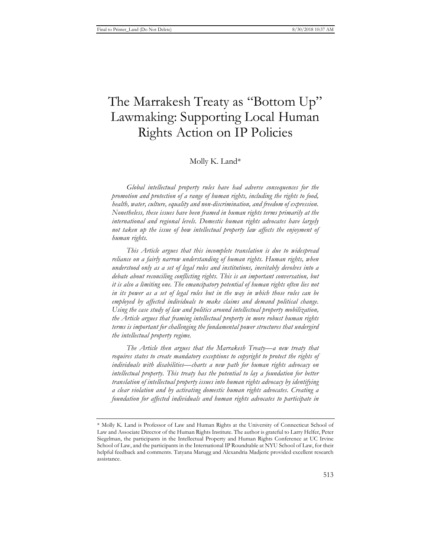# The Marrakesh Treaty as "Bottom Up" Lawmaking: Supporting Local Human Rights Action on IP Policies

# Molly K. Land\*

*Global intellectual property rules have had adverse consequences for the promotion and protection of a range of human rights, including the rights to food, health, water, culture, equality and non-discrimination, and freedom of expression. Nonetheless, these issues have been framed in human rights terms primarily at the international and regional levels. Domestic human rights advocates have largely not taken up the issue of how intellectual property law affects the enjoyment of human rights.* 

*This Article argues that this incomplete translation is due to widespread reliance on a fairly narrow understanding of human rights. Human rights, when understood only as a set of legal rules and institutions, inevitably devolves into a debate about reconciling conflicting rights. This is an important conversation, but it is also a limiting one. The emancipatory potential of human rights often lies not*  in its power as a set of legal rules but in the way in which those rules can be *employed by affected individuals to make claims and demand political change. Using the case study of law and politics around intellectual property mobilization, the Article argues that framing intellectual property in more robust human rights terms is important for challenging the fundamental power structures that undergird the intellectual property regime.* 

*The Article then argues that the Marrakesh Treaty—a new treaty that requires states to create mandatory exceptions to copyright to protect the rights of individuals with disabilities—charts a new path for human rights advocacy on intellectual property. This treaty has the potential to lay a foundation for better translation of intellectual property issues into human rights advocacy by identifying a clear violation and by activating domestic human rights advocates. Creating a foundation for affected individuals and human rights advocates to participate in* 

<sup>\*</sup> Molly K. Land is Professor of Law and Human Rights at the University of Connecticut School of Law and Associate Director of the Human Rights Institute. The author is grateful to Larry Helfer, Peter Siegelman, the participants in the Intellectual Property and Human Rights Conference at UC Irvine School of Law, and the participants in the International IP Roundtable at NYU School of Law, for their helpful feedback and comments. Tatyana Marugg and Alexandria Madjeric provided excellent research assistance.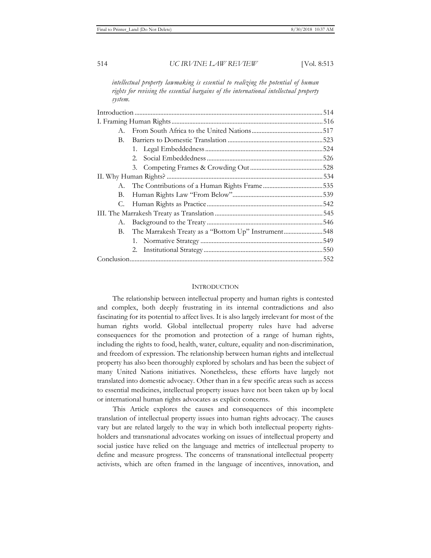*intellectual property lawmaking is essential to realizing the potential of human rights for revising the essential bargains of the international intellectual property system.* 

| А. |                                                        |     |
|----|--------------------------------------------------------|-----|
| В. |                                                        |     |
|    |                                                        |     |
|    |                                                        |     |
|    |                                                        | 528 |
|    |                                                        | 534 |
|    |                                                        |     |
| В. |                                                        |     |
| C. |                                                        |     |
|    |                                                        | 545 |
|    |                                                        | 546 |
|    | B. The Marrakesh Treaty as a "Bottom Up" Instrument548 |     |
|    |                                                        |     |
|    |                                                        |     |
|    |                                                        |     |
|    |                                                        |     |

# **INTRODUCTION**

The relationship between intellectual property and human rights is contested and complex, both deeply frustrating in its internal contradictions and also fascinating for its potential to affect lives. It is also largely irrelevant for most of the human rights world. Global intellectual property rules have had adverse consequences for the promotion and protection of a range of human rights, including the rights to food, health, water, culture, equality and non-discrimination, and freedom of expression. The relationship between human rights and intellectual property has also been thoroughly explored by scholars and has been the subject of many United Nations initiatives. Nonetheless, these efforts have largely not translated into domestic advocacy. Other than in a few specific areas such as access to essential medicines, intellectual property issues have not been taken up by local or international human rights advocates as explicit concerns.

This Article explores the causes and consequences of this incomplete translation of intellectual property issues into human rights advocacy. The causes vary but are related largely to the way in which both intellectual property rightsholders and transnational advocates working on issues of intellectual property and social justice have relied on the language and metrics of intellectual property to define and measure progress. The concerns of transnational intellectual property activists, which are often framed in the language of incentives, innovation, and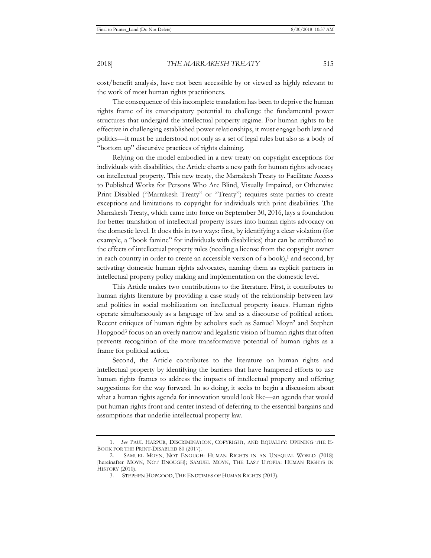cost/benefit analysis, have not been accessible by or viewed as highly relevant to the work of most human rights practitioners.

The consequence of this incomplete translation has been to deprive the human rights frame of its emancipatory potential to challenge the fundamental power structures that undergird the intellectual property regime. For human rights to be effective in challenging established power relationships, it must engage both law and politics—it must be understood not only as a set of legal rules but also as a body of "bottom up" discursive practices of rights claiming.

Relying on the model embodied in a new treaty on copyright exceptions for individuals with disabilities, the Article charts a new path for human rights advocacy on intellectual property. This new treaty, the Marrakesh Treaty to Facilitate Access to Published Works for Persons Who Are Blind, Visually Impaired, or Otherwise Print Disabled ("Marrakesh Treaty" or "Treaty") requires state parties to create exceptions and limitations to copyright for individuals with print disabilities. The Marrakesh Treaty, which came into force on September 30, 2016, lays a foundation for better translation of intellectual property issues into human rights advocacy on the domestic level. It does this in two ways: first, by identifying a clear violation (for example, a "book famine" for individuals with disabilities) that can be attributed to the effects of intellectual property rules (needing a license from the copyright owner in each country in order to create an accessible version of a book), $<sup>1</sup>$  and second, by</sup> activating domestic human rights advocates, naming them as explicit partners in intellectual property policy making and implementation on the domestic level.

This Article makes two contributions to the literature. First, it contributes to human rights literature by providing a case study of the relationship between law and politics in social mobilization on intellectual property issues. Human rights operate simultaneously as a language of law and as a discourse of political action. Recent critiques of human rights by scholars such as Samuel Moyn2 and Stephen Hopgood<sup>3</sup> focus on an overly narrow and legalistic vision of human rights that often prevents recognition of the more transformative potential of human rights as a frame for political action.

Second, the Article contributes to the literature on human rights and intellectual property by identifying the barriers that have hampered efforts to use human rights frames to address the impacts of intellectual property and offering suggestions for the way forward. In so doing, it seeks to begin a discussion about what a human rights agenda for innovation would look like—an agenda that would put human rights front and center instead of deferring to the essential bargains and assumptions that underlie intellectual property law.

<sup>1.</sup> *See* PAUL HARPUR, DISCRIMINATION, COPYRIGHT, AND EQUALITY: OPENING THE E-BOOK FOR THE PRINT-DISABLED 80 (2017).

<sup>2.</sup> SAMUEL MOYN, NOT ENOUGH: HUMAN RIGHTS IN AN UNEQUAL WORLD (2018) [hereinafter MOYN, NOT ENOUGH]; SAMUEL MOYN, THE LAST UTOPIA: HUMAN RIGHTS IN HISTORY (2010).

<sup>3.</sup> STEPHEN HOPGOOD, THE ENDTIMES OF HUMAN RIGHTS (2013).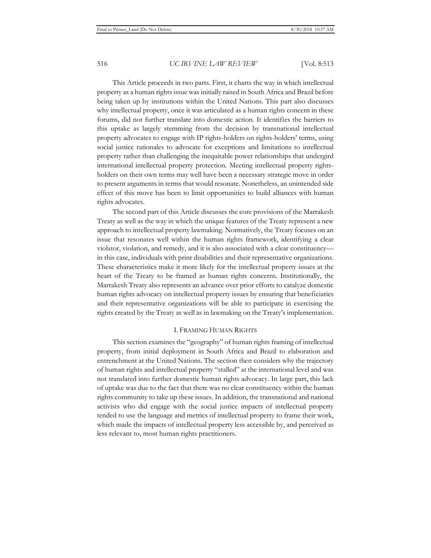This Article proceeds in two parts. First, it charts the way in which intellectual property as a human rights issue was initially raised in South Africa and Brazil before being taken up by institutions within the United Nations. This part also discusses why intellectual property, once it was articulated as a human rights concern in these forums, did not further translate into domestic action. It identifies the barriers to this uptake as largely stemming from the decision by transnational intellectual property advocates to engage with IP rights-holders on rights-holders' terms, using social justice rationales to advocate for exceptions and limitations to intellectual property rather than challenging the inequitable power relationships that undergird international intellectual property protection. Meeting intellectual property rightsholders on their own terms may well have been a necessary strategic move in order to present arguments in terms that would resonate. Nonetheless, an unintended side effect of this move has been to limit opportunities to build alliances with human rights advocates.

The second part of this Article discusses the core provisions of the Marrakesh Treaty as well as the way in which the unique features of the Treaty represent a new approach to intellectual property lawmaking. Normatively, the Treaty focuses on an issue that resonates well within the human rights framework, identifying a clear violator, violation, and remedy, and it is also associated with a clear constituency in this case, individuals with print disabilities and their representative organizations. These characteristics make it more likely for the intellectual property issues at the heart of the Treaty to be framed as human rights concerns. Institutionally, the Marrakesh Treaty also represents an advance over prior efforts to catalyze domestic human rights advocacy on intellectual property issues by ensuring that beneficiaries and their representative organizations will be able to participate in exercising the rights created by the Treaty as well as in lawmaking on the Treaty's implementation.

# I. FRAMING HUMAN RIGHTS

This section examines the "geography" of human rights framing of intellectual property, from initial deployment in South Africa and Brazil to elaboration and entrenchment at the United Nations. The section then considers why the trajectory of human rights and intellectual property "stalled" at the international level and was not translated into further domestic human rights advocacy. In large part, this lack of uptake was due to the fact that there was no clear constituency within the human rights community to take up these issues. In addition, the transnational and national activists who did engage with the social justice impacts of intellectual property tended to use the language and metrics of intellectual property to frame their work, which made the impacts of intellectual property less accessible by, and perceived as less relevant to, most human rights practitioners.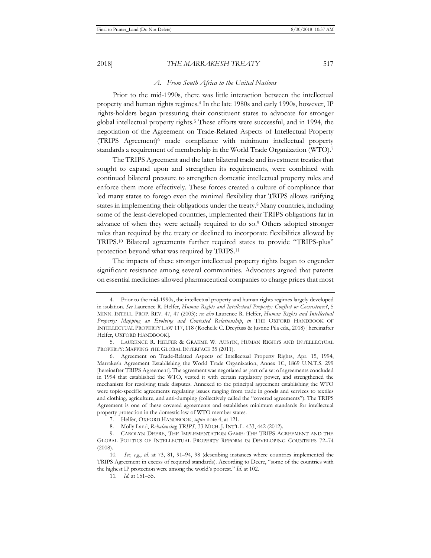#### *A. From South Africa to the United Nations*

Prior to the mid-1990s, there was little interaction between the intellectual property and human rights regimes.4 In the late 1980s and early 1990s, however, IP rights-holders began pressuring their constituent states to advocate for stronger global intellectual property rights.5 These efforts were successful, and in 1994, the negotiation of the Agreement on Trade-Related Aspects of Intellectual Property (TRIPS Agreement)6 made compliance with minimum intellectual property standards a requirement of membership in the World Trade Organization (WTO).7

The TRIPS Agreement and the later bilateral trade and investment treaties that sought to expand upon and strengthen its requirements, were combined with continued bilateral pressure to strengthen domestic intellectual property rules and enforce them more effectively. These forces created a culture of compliance that led many states to forego even the minimal flexibility that TRIPS allows ratifying states in implementing their obligations under the treaty.8 Many countries, including some of the least-developed countries, implemented their TRIPS obligations far in advance of when they were actually required to do so.9 Others adopted stronger rules than required by the treaty or declined to incorporate flexibilities allowed by TRIPS.10 Bilateral agreements further required states to provide "TRIPS-plus" protection beyond what was required by TRIPS.11

The impacts of these stronger intellectual property rights began to engender significant resistance among several communities. Advocates argued that patents on essential medicines allowed pharmaceutical companies to charge prices that most

<sup>4.</sup> Prior to the mid-1990s, the intellectual property and human rights regimes largely developed in isolation. *See* Laurence R. Helfer, *Human Rights and Intellectual Property: Conflict or Coexistence?*, 5 MINN. INTELL. PROP. REV. 47, 47 (2003); *see also* Laurence R. Helfer, *Human Rights and Intellectual Property: Mapping an Evolving and Contested Relationship*, *in* THE OXFORD HANDBOOK OF INTELLECTUAL PROPERTY LAW 117, 118 (Rochelle C. Dreyfuss & Justine Pila eds., 2018) [hereinafter Helfer, OXFORD HANDBOOK].

<sup>5.</sup> LAURENCE R. HELFER & GRAEME W. AUSTIN, HUMAN RIGHTS AND INTELLECTUAL PROPERTY: MAPPING THE GLOBAL INTERFACE 35 (2011).

<sup>6.</sup> Agreement on Trade-Related Aspects of Intellectual Property Rights, Apr. 15, 1994, Marrakesh Agreement Establishing the World Trade Organization, Annex 1C, 1869 U.N.T.S. 299 [hereinafter TRIPS Agreement]. The agreement was negotiated as part of a set of agreements concluded in 1994 that established the WTO, vested it with certain regulatory power, and strengthened the mechanism for resolving trade disputes. Annexed to the principal agreement establishing the WTO were topic-specific agreements regulating issues ranging from trade in goods and services to textiles and clothing, agriculture, and anti-dumping (collectively called the "covered agreements"). The TRIPS Agreement is one of these covered agreements and establishes minimum standards for intellectual property protection in the domestic law of WTO member states.

<sup>7.</sup> Helfer, OXFORD HANDBOOK, *supra* note 4, at 121.

<sup>8.</sup> Molly Land, *Rebalancing TRIPS*, 33 MICH. J. INT'L L. 433, 442 (2012).

<sup>9.</sup> CAROLYN DEERE, THE IMPLEMENTATION GAME: THE TRIPS AGREEMENT AND THE GLOBAL POLITICS OF INTELLECTUAL PROPERTY REFORM IN DEVELOPING COUNTRIES 72–74 (2008).

<sup>10</sup>*. See, e.g.*, *id.* at 73, 81, 91–94, 98 (describing instances where countries implemented the TRIPS Agreement in excess of required standards). According to Deere, "some of the countries with the highest IP protection were among the world's poorest." *Id.* at 102.

<sup>11</sup>*. Id.* at 151–55.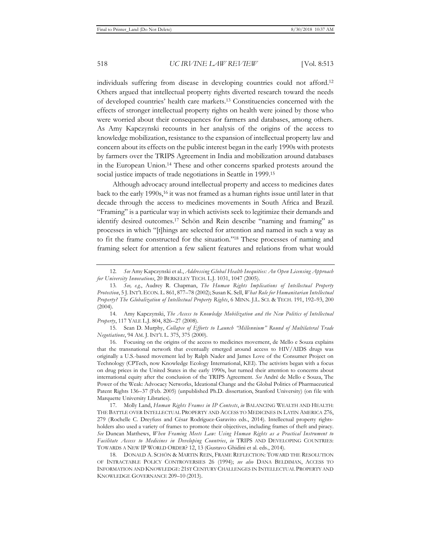individuals suffering from disease in developing countries could not afford.12 Others argued that intellectual property rights diverted research toward the needs of developed countries' health care markets.13 Constituencies concerned with the effects of stronger intellectual property rights on health were joined by those who were worried about their consequences for farmers and databases, among others. As Amy Kapczynski recounts in her analysis of the origins of the access to knowledge mobilization, resistance to the expansion of intellectual property law and concern about its effects on the public interest began in the early 1990s with protests by farmers over the TRIPS Agreement in India and mobilization around databases in the European Union.14 These and other concerns sparked protests around the social justice impacts of trade negotiations in Seattle in 1999.<sup>15</sup>

Although advocacy around intellectual property and access to medicines dates back to the early 1990s,16 it was not framed as a human rights issue until later in that decade through the access to medicines movements in South Africa and Brazil. "Framing" is a particular way in which activists seek to legitimize their demands and identify desired outcomes.17 Schön and Rein describe "naming and framing" as processes in which "[t]hings are selected for attention and named in such a way as to fit the frame constructed for the situation."18 These processes of naming and framing select for attention a few salient features and relations from what would

14. Amy Kapczynski, *The Access to Knowledge Mobilization and the New Politics of Intellectual Property*, 117 YALE L.J. 804, 826–27 (2008).

15. Sean D. Murphy, *Collapse of Efforts to Launch "Millennium" Round of Multilateral Trade Negotiations*, 94 AM. J. INT'L L. 375, 375 (2000).

16. Focusing on the origins of the access to medicines movement, de Mello e Souza explains that the transnational network that eventually emerged around access to HIV/AIDS drugs was originally a U.S.-based movement led by Ralph Nader and James Love of the Consumer Project on Technology (CPTech, now Knowledge Ecology International, KEI). The activists began with a focus on drug prices in the United States in the early 1990s, but turned their attention to concerns about international equity after the conclusion of the TRIPS Agreement. *See* André de Mello e Souza, The Power of the Weak: Advocacy Networks, Ideational Change and the Global Politics of Pharmaceutical Patent Rights 136–37 (Feb. 2005) (unpublished Ph.D. dissertation, Stanford University) (on file with Marquette University Libraries).

17. Molly Land, *Human Rights Frames in IP Contests*, *in* BALANCING WEALTH AND HEALTH: THE BATTLE OVER INTELLECTUAL PROPERTY AND ACCESS TO MEDICINES IN LATIN AMERICA 276, 279 (Rochelle C. Dreyfuss and César Rodríguez-Garavito eds., 2014). Intellectual property rightsholders also used a variety of frames to promote their objectives, including frames of theft and piracy. *See* Duncan Matthews, *When Framing Meets Law: Using Human Rights as a Practical Instrument to Facilitate Access to Medicines in Developing Countries*, *in* TRIPS AND DEVELOPING COUNTRIES: TOWARDS A NEW IP WORLD ORDER? 12, 13 (Gustavo Ghidini et al. eds., 2014).

18. DONALD A. SCHÖN & MARTIN REIN, FRAME REFLECTION: TOWARD THE RESOLUTION OF INTRACTABLE POLICY CONTROVERSIES 26 (1994); *see also* DANA BELDIMAN, ACCESS TO INFORMATION AND KNOWLEDGE: 21ST CENTURY CHALLENGES IN INTELLECTUAL PROPERTY AND KNOWLEDGE GOVERNANCE 209–10 (2013).

<sup>12</sup>*. See* Amy Kapczynski et al., *Addressing Global Health Inequities: An Open Licensing Approach for University Innovations*, 20 BERKELEY TECH. L.J. 1031, 1047 (2005).

<sup>13</sup>*. See, e.g.*, Audrey R. Chapman, *The Human Rights Implications of Intellectual Property Protection*, 5 J.INT'L ECON. L. 861, 877–78 (2002); Susan K. Sell, *What Role for Humanitarian Intellectual Property? The Globalization of Intellectual Property Rights*, 6 MINN. J.L. SCI. & TECH. 191, 192–93, 200 (2004).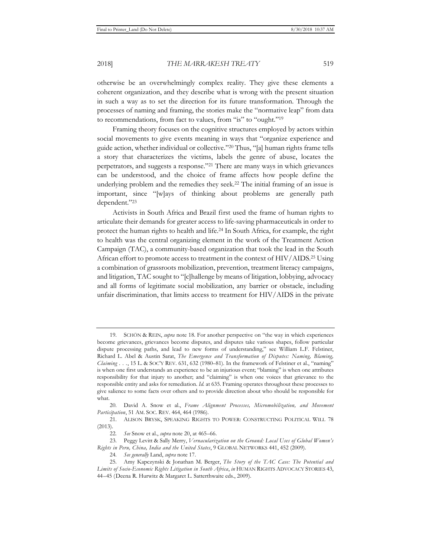otherwise be an overwhelmingly complex reality. They give these elements a coherent organization, and they describe what is wrong with the present situation in such a way as to set the direction for its future transformation. Through the processes of naming and framing, the stories make the "normative leap" from data to recommendations, from fact to values, from "is" to "ought."19

Framing theory focuses on the cognitive structures employed by actors within social movements to give events meaning in ways that "organize experience and guide action, whether individual or collective."20 Thus, "[a] human rights frame tells a story that characterizes the victims, labels the genre of abuse, locates the perpetrators, and suggests a response."21 There are many ways in which grievances can be understood, and the choice of frame affects how people define the underlying problem and the remedies they seek.22 The initial framing of an issue is important, since "[w]ays of thinking about problems are generally path dependent."23

Activists in South Africa and Brazil first used the frame of human rights to articulate their demands for greater access to life-saving pharmaceuticals in order to protect the human rights to health and life.24 In South Africa, for example, the right to health was the central organizing element in the work of the Treatment Action Campaign (TAC), a community-based organization that took the lead in the South African effort to promote access to treatment in the context of HIV/AIDS.25 Using a combination of grassroots mobilization, prevention, treatment literacy campaigns, and litigation, TAC sought to "[c]hallenge by means of litigation, lobbying, advocacy and all forms of legitimate social mobilization, any barrier or obstacle, including unfair discrimination, that limits access to treatment for HIV/AIDS in the private

<sup>19.</sup> SCHÖN & REIN, *supra* note 18. For another perspective on "the way in which experiences become grievances, grievances become disputes, and disputes take various shapes, follow particular dispute processing paths, and lead to new forms of understanding," see William L.F. Felstiner, Richard L. Abel & Austin Sarat, *The Emergence and Transformation of Disputes: Naming, Blaming, Claiming . . .*, 15 L. & SOC'Y REV. 631, 632 (1980–81). In the framework of Felstiner et al., "naming" is when one first understands an experience to be an injurious event; "blaming" is when one attributes responsibility for that injury to another; and "claiming" is when one voices that grievance to the responsible entity and asks for remediation. *Id.* at 635. Framing operates throughout these processes to give salience to some facts over others and to provide direction about who should be responsible for what.

<sup>20.</sup> David A. Snow et al., *Frame Alignment Processes, Micromobilization, and Movement Participation*, 51 AM. SOC. REV. 464, 464 (1986).

<sup>21.</sup> ALISON BRYSK, SPEAKING RIGHTS TO POWER: CONSTRUCTING POLITICAL WILL 78 (2013).

<sup>22</sup>*. See* Snow et al., *supra* note 20, at 465–66.

<sup>23.</sup> Peggy Levitt & Sally Merry, *Vernacularization on the Ground: Local Uses of Global Women's Rights in Peru, China, India and the United States*, 9 GLOBAL NETWORKS 441, 452 (2009).

<sup>24</sup>*. See generally* Land, *supra* note 17.

<sup>25.</sup> Amy Kapczynski & Jonathan M. Berger, *The Story of the TAC Case: The Potential and Limits of Socio-Economic Rights Litigation in South Africa*, *in* HUMAN RIGHTS ADVOCACY STORIES 43, 44–45 (Deena R. Hurwitz & Margaret L. Satterthwaite eds., 2009).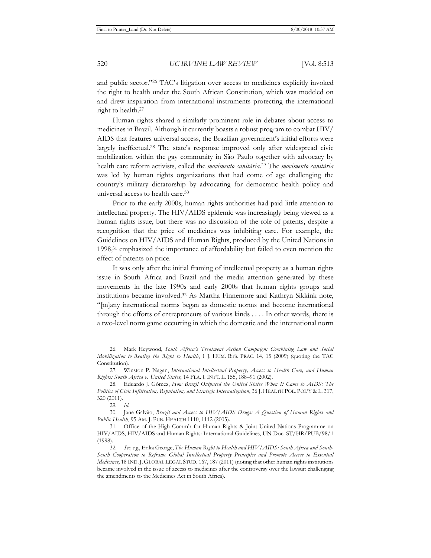and public sector."26 TAC's litigation over access to medicines explicitly invoked the right to health under the South African Constitution, which was modeled on and drew inspiration from international instruments protecting the international right to health.27

Human rights shared a similarly prominent role in debates about access to medicines in Brazil. Although it currently boasts a robust program to combat HIV/ AIDS that features universal access, the Brazilian government's initial efforts were largely ineffectual.28 The state's response improved only after widespread civic mobilization within the gay community in São Paulo together with advocacy by health care reform activists, called the *movimento sanitária*. 29 The *movimento sanitária* was led by human rights organizations that had come of age challenging the country's military dictatorship by advocating for democratic health policy and universal access to health care.30

Prior to the early 2000s, human rights authorities had paid little attention to intellectual property. The HIV/AIDS epidemic was increasingly being viewed as a human rights issue, but there was no discussion of the role of patents, despite a recognition that the price of medicines was inhibiting care. For example, the Guidelines on HIV/AIDS and Human Rights, produced by the United Nations in 1998,31 emphasized the importance of affordability but failed to even mention the effect of patents on price.

It was only after the initial framing of intellectual property as a human rights issue in South Africa and Brazil and the media attention generated by these movements in the late 1990s and early 2000s that human rights groups and institutions became involved.32 As Martha Finnemore and Kathryn Sikkink note, "[m]any international norms began as domestic norms and become international through the efforts of entrepreneurs of various kinds . . . . In other words, there is a two-level norm game occurring in which the domestic and the international norm

<sup>26.</sup> Mark Heywood, *South Africa's Treatment Action Campaign: Combining Law and Social Mobilization to Realize the Right to Health*, 1 J. HUM. RTS. PRAC. 14, 15 (2009) (quoting the TAC Constitution).

<sup>27.</sup> Winston P. Nagan, *International Intellectual Property, Access to Health Care, and Human Rights: South Africa v. United States*, 14 FLA. J. INT'L L. 155, 188–91 (2002).

<sup>28.</sup> Eduardo J. Gómez, *How Brazil Outpaced the United States When It Came to AIDS: The Politics of Civic Infiltration, Reputation, and Strategic Internalization*, 36 J. HEALTH POL. POL'Y & L. 317, 320 (2011).

<sup>29</sup>*. Id.*

<sup>30.</sup> Jane Galvão, *Brazil and Access to HIV/AIDS Drugs: A Question of Human Rights and Public Health*, 95 AM. J. PUB. HEALTH 1110, 1112 (2005).

<sup>31.</sup> Office of the High Comm'r for Human Rights & Joint United Nations Programme on HIV/AIDS, HIV/AIDS and Human Rights: International Guidelines, UN Doc. ST/HR/PUB/98/1 (1998).

<sup>32</sup>*. See, e.g.*, Erika George, *The Human Right to Health and HIV/AIDS: South Africa and South-South Cooperation to Reframe Global Intellectual Property Principles and Promote Access to Essential Medicines*, 18 IND.J. GLOBAL LEGAL STUD. 167, 187 (2011) (noting that other human rights institutions became involved in the issue of access to medicines after the controversy over the lawsuit challenging the amendments to the Medicines Act in South Africa).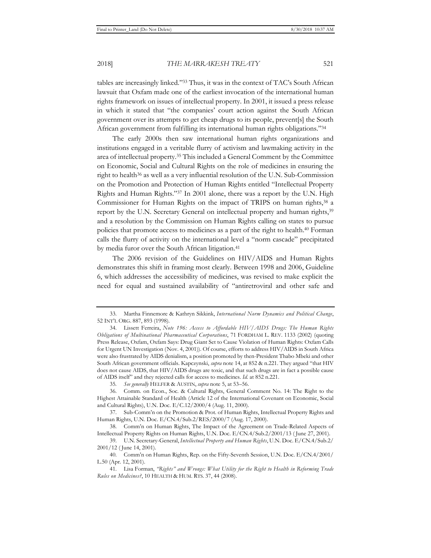tables are increasingly linked."33 Thus, it was in the context of TAC's South African lawsuit that Oxfam made one of the earliest invocation of the international human rights framework on issues of intellectual property. In 2001, it issued a press release in which it stated that "the companies' court action against the South African government over its attempts to get cheap drugs to its people, prevent[s] the South African government from fulfilling its international human rights obligations."34

The early 2000s then saw international human rights organizations and institutions engaged in a veritable flurry of activism and lawmaking activity in the area of intellectual property.35 This included a General Comment by the Committee on Economic, Social and Cultural Rights on the role of medicines in ensuring the right to health<sup>36</sup> as well as a very influential resolution of the U.N. Sub-Commission on the Promotion and Protection of Human Rights entitled "Intellectual Property Rights and Human Rights."37 In 2001 alone, there was a report by the U.N. High Commissioner for Human Rights on the impact of TRIPS on human rights,<sup>38</sup> a report by the U.N. Secretary General on intellectual property and human rights,<sup>39</sup> and a resolution by the Commission on Human Rights calling on states to pursue policies that promote access to medicines as a part of the right to health.40 Forman calls the flurry of activity on the international level a "norm cascade" precipitated by media furor over the South African litigation.<sup>41</sup>

The 2006 revision of the Guidelines on HIV/AIDS and Human Rights demonstrates this shift in framing most clearly. Between 1998 and 2006, Guideline 6, which addresses the accessibility of medicines, was revised to make explicit the need for equal and sustained availability of "antiretroviral and other safe and

<sup>33.</sup> Martha Finnemore & Kathryn Sikkink, *International Norm Dynamics and Political Change*, 52 INT'L ORG. 887, 893 (1998).

<sup>34.</sup> Lissett Ferreira, *Note 196: Access to Affordable HIV/AIDS Drugs: The Human Rights Obligations of Multinational Pharmaceutical Corporations*, 71 FORDHAM L. REV. 1133 (2002) (quoting Press Release, Oxfam, Oxfam Says: Drug Giant Set to Cause Violation of Human Rights: Oxfam Calls for Urgent UN Investigation (Nov. 4, 2001)). Of course, efforts to address HIV/AIDS in South Africa were also frustrated by AIDS denialism, a position promoted by then-President Thabo Mbeki and other South African government officials. Kapczynski, *supra* note 14, at 852 & n.221. They argued "that HIV does not cause AIDS, that HIV/AIDS drugs are toxic, and that such drugs are in fact a possible cause of AIDS itself" and they rejected calls for access to medicines. *Id.* at 852 n.221.

<sup>35</sup>*. See generally* HELFER & AUSTIN, *supra* note 5, at 53–56.

<sup>36.</sup> Comm. on Econ., Soc. & Cultural Rights, General Comment No. 14: The Right to the Highest Attainable Standard of Health (Article 12 of the International Covenant on Economic, Social and Cultural Rights), U.N. Doc. E/C.12/2000/4 (Aug. 11, 2000).

<sup>37.</sup> Sub-Comm'n on the Promotion & Prot. of Human Rights, Intellectual Property Rights and Human Rights, U.N. Doc. E/CN.4/Sub.2/RES/2000/7 (Aug. 17, 2000).

<sup>38.</sup> Comm'n on Human Rights, The Impact of the Agreement on Trade-Related Aspects of Intellectual Property Rights on Human Rights, U.N. Doc. E/CN.4/Sub.2/2001/13 ( June 27, 2001).

<sup>39.</sup> U.N. Secretary-General, *Intellectual Property and Human Rights*, U.N. Doc. E/CN.4/Sub.2/ 2001/12 ( June 14, 2001).

<sup>40.</sup> Comm'n on Human Rights, Rep. on the Fifty-Seventh Session, U.N. Doc. E/CN.4/2001/ L.50 (Apr. 12, 2001).

<sup>41.</sup> Lisa Forman, *"Rights" and Wrongs: What Utility for the Right to Health in Reforming Trade Rules on Medicines?*, 10 HEALTH & HUM. RTS. 37, 44 (2008).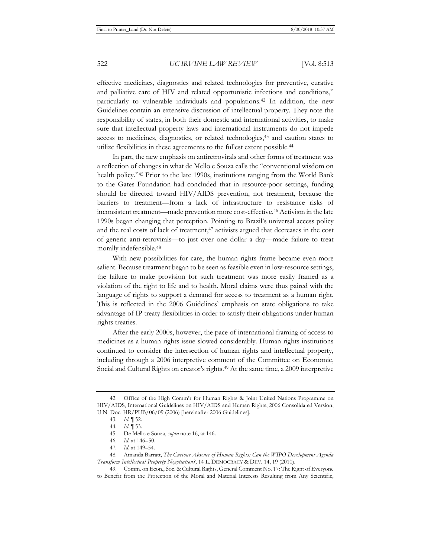effective medicines, diagnostics and related technologies for preventive, curative and palliative care of HIV and related opportunistic infections and conditions," particularly to vulnerable individuals and populations.42 In addition, the new Guidelines contain an extensive discussion of intellectual property. They note the responsibility of states, in both their domestic and international activities, to make sure that intellectual property laws and international instruments do not impede access to medicines, diagnostics, or related technologies,43 and caution states to utilize flexibilities in these agreements to the fullest extent possible.44

In part, the new emphasis on antiretrovirals and other forms of treatment was a reflection of changes in what de Mello e Souza calls the "conventional wisdom on health policy."<sup>45</sup> Prior to the late 1990s, institutions ranging from the World Bank to the Gates Foundation had concluded that in resource-poor settings, funding should be directed toward HIV/AIDS prevention, not treatment, because the barriers to treatment—from a lack of infrastructure to resistance risks of inconsistent treatment—made prevention more cost-effective.46 Activism in the late 1990s began changing that perception. Pointing to Brazil's universal access policy and the real costs of lack of treatment, $47$  activists argued that decreases in the cost of generic anti-retrovirals—to just over one dollar a day—made failure to treat morally indefensible.48

With new possibilities for care, the human rights frame became even more salient. Because treatment began to be seen as feasible even in low-resource settings, the failure to make provision for such treatment was more easily framed as a violation of the right to life and to health. Moral claims were thus paired with the language of rights to support a demand for access to treatment as a human right. This is reflected in the 2006 Guidelines' emphasis on state obligations to take advantage of IP treaty flexibilities in order to satisfy their obligations under human rights treaties.

After the early 2000s, however, the pace of international framing of access to medicines as a human rights issue slowed considerably. Human rights institutions continued to consider the intersection of human rights and intellectual property, including through a 2006 interpretive comment of the Committee on Economic, Social and Cultural Rights on creator's rights.<sup>49</sup> At the same time, a 2009 interpretive

<sup>42.</sup> Office of the High Comm'r for Human Rights & Joint United Nations Programme on HIV/AIDS, International Guidelines on HIV/AIDS and Human Rights, 2006 Consolidated Version, U.N. Doc. HR/PUB/06/09 (2006) [hereinafter 2006 Guidelines].

<sup>43</sup>*. Id.* ¶ 52.

<sup>44</sup>*. Id.* ¶ 53.

<sup>45.</sup> De Mello e Souza, *supra* note 16, at 146.

<sup>46</sup>*. Id.* at 146–50.

<sup>47</sup>*. Id.* at 149–54.

<sup>48.</sup> Amanda Barratt, *The Curious Absence of Human Rights: Can the WIPO Development Agenda Transform Intellectual Property Negotiation?*, 14 L. DEMOCRACY & DEV. 14, 19 (2010).

<sup>49.</sup> Comm. on Econ., Soc. & Cultural Rights, General Comment No. 17: The Right of Everyone to Benefit from the Protection of the Moral and Material Interests Resulting from Any Scientific,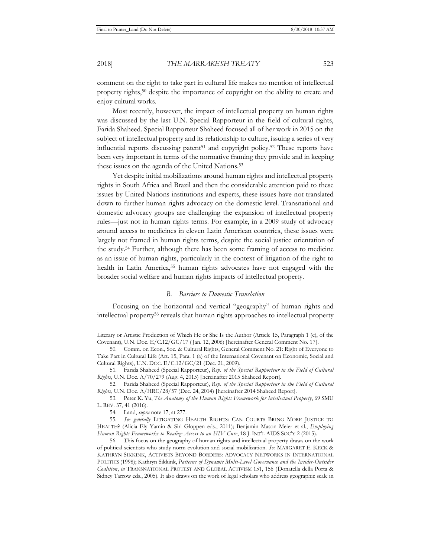comment on the right to take part in cultural life makes no mention of intellectual property rights,50 despite the importance of copyright on the ability to create and enjoy cultural works.

Most recently, however, the impact of intellectual property on human rights was discussed by the last U.N. Special Rapporteur in the field of cultural rights, Farida Shaheed. Special Rapporteur Shaheed focused all of her work in 2015 on the subject of intellectual property and its relationship to culture, issuing a series of very influential reports discussing patent<sup>51</sup> and copyright policy.<sup>52</sup> These reports have been very important in terms of the normative framing they provide and in keeping these issues on the agenda of the United Nations.53

Yet despite initial mobilizations around human rights and intellectual property rights in South Africa and Brazil and then the considerable attention paid to these issues by United Nations institutions and experts, these issues have not translated down to further human rights advocacy on the domestic level. Transnational and domestic advocacy groups are challenging the expansion of intellectual property rules—just not in human rights terms. For example, in a 2009 study of advocacy around access to medicines in eleven Latin American countries, these issues were largely not framed in human rights terms, despite the social justice orientation of the study.54 Further, although there has been some framing of access to medicine as an issue of human rights, particularly in the context of litigation of the right to health in Latin America,55 human rights advocates have not engaged with the broader social welfare and human rights impacts of intellectual property.

#### *B. Barriers to Domestic Translation*

Focusing on the horizontal and vertical "geography" of human rights and intellectual property56 reveals that human rights approaches to intellectual property

Literary or Artistic Production of Which He or She Is the Author (Article 15, Paragraph 1 (c), of the Covenant), U.N. Doc. E/C.12/GC/17 ( Jan. 12, 2006) [hereinafter General Comment No. 17].

<sup>50.</sup> Comm. on Econ., Soc. & Cultural Rights, General Comment No. 21: Right of Everyone to Take Part in Cultural Life (Art. 15, Para. 1 (a) of the International Covenant on Economic, Social and Cultural Rights), U.N. DOC. E/C.12/GC/21 (Dec. 21, 2009).

<sup>51.</sup> Farida Shaheed (Special Rapporteur), *Rep. of the Special Rapporteur in the Field of Cultural Rights*, U.N. Doc. A/70/279 (Aug. 4, 2015) [hereinafter 2015 Shaheed Report].

<sup>52.</sup> Farida Shaheed (Special Rapporteur), *Rep. of the Special Rapporteur in the Field of Cultural Rights*, U.N. Doc. A/HRC/28/57 (Dec. 24, 2014) [hereinafter 2014 Shaheed Report].

<sup>53.</sup> Peter K. Yu, *The Anatomy of the Human Rights Framework for Intellectual Property*, 69 SMU L. REV. 37, 41 (2016).

<sup>54.</sup> Land, *supra* note 17, at 277.

<sup>55</sup>*. See generally* LITIGATING HEALTH RIGHTS: CAN COURTS BRING MORE JUSTICE TO HEALTH? (Alicia Ely Yamin & Siri Gloppen eds., 2011); Benjamin Mason Meier et al., *Employing Human Rights Frameworks to Realize Access to an HIV Cure*, 18 J. INT'L AIDS SOC'Y 2 (2015).

<sup>56.</sup> This focus on the geography of human rights and intellectual property draws on the work of political scientists who study norm evolution and social mobilization. *See* MARGARET E. KECK & KATHRYN SIKKINK, ACTIVISTS BEYOND BORDERS: ADVOCACY NETWORKS IN INTERNATIONAL POLITICS (1998); Kathryn Sikkink, Patterns of Dynamic Multi-Level Governance and the Insider-Outsider *Coalition*, *in* TRANSNATIONAL PROTEST AND GLOBAL ACTIVISM 151, 156 (Donatella della Porta & Sidney Tarrow eds., 2005). It also draws on the work of legal scholars who address geographic scale in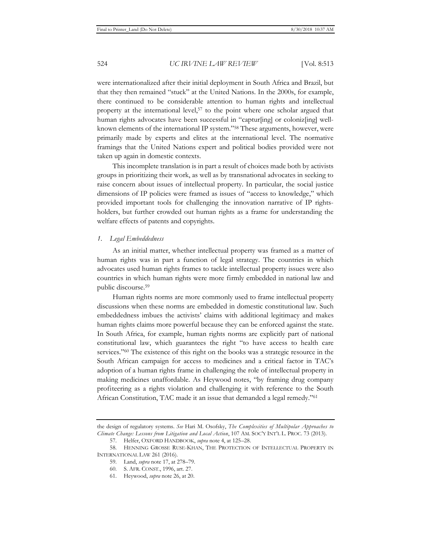were internationalized after their initial deployment in South Africa and Brazil, but that they then remained "stuck" at the United Nations. In the 2000s, for example, there continued to be considerable attention to human rights and intellectual property at the international level,57 to the point where one scholar argued that human rights advocates have been successful in "captur[ing] or coloniz[ing] wellknown elements of the international IP system."58 These arguments, however, were primarily made by experts and elites at the international level. The normative framings that the United Nations expert and political bodies provided were not taken up again in domestic contexts.

This incomplete translation is in part a result of choices made both by activists groups in prioritizing their work, as well as by transnational advocates in seeking to raise concern about issues of intellectual property. In particular, the social justice dimensions of IP policies were framed as issues of "access to knowledge," which provided important tools for challenging the innovation narrative of IP rightsholders, but further crowded out human rights as a frame for understanding the welfare effects of patents and copyrights.

# *1. Legal Embeddedness*

As an initial matter, whether intellectual property was framed as a matter of human rights was in part a function of legal strategy. The countries in which advocates used human rights frames to tackle intellectual property issues were also countries in which human rights were more firmly embedded in national law and public discourse.59

Human rights norms are more commonly used to frame intellectual property discussions when these norms are embedded in domestic constitutional law. Such embeddedness imbues the activists' claims with additional legitimacy and makes human rights claims more powerful because they can be enforced against the state. In South Africa, for example, human rights norms are explicitly part of national constitutional law, which guarantees the right "to have access to health care services."60 The existence of this right on the books was a strategic resource in the South African campaign for access to medicines and a critical factor in TAC's adoption of a human rights frame in challenging the role of intellectual property in making medicines unaffordable. As Heywood notes, "by framing drug company profiteering as a rights violation and challenging it with reference to the South African Constitution, TAC made it an issue that demanded a legal remedy."61

the design of regulatory systems. *See* Hari M. Osofsky, *The Complexities of Multipolar Approaches to Climate Change: Lessons from Litigation and Local Action*, 107 AM. SOC'Y INT'L L. PROC. 73 (2013).

<sup>57.</sup> Helfer, OXFORD HANDBOOK, *supra* note 4, at 125–28.

<sup>58.</sup> HENNING GROSSE RUSE-KHAN, THE PROTECTION OF INTELLECTUAL PROPERTY IN INTERNATIONAL LAW 261 (2016).

<sup>59.</sup> Land, *supra* note 17, at 278–79.

<sup>60.</sup> S. AFR. CONST., 1996, art. 27.

<sup>61.</sup> Heywood, *supra* note 26, at 20.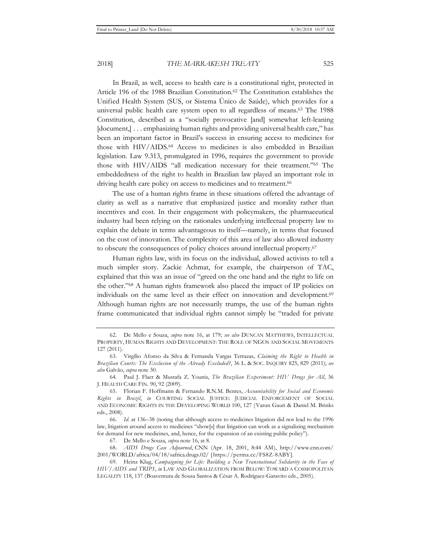In Brazil, as well, access to health care is a constitutional right, protected in Article 196 of the 1988 Brazilian Constitution.<sup>62</sup> The Constitution establishes the Unified Health System (SUS, or Sistema Único de Saúde), which provides for a universal public health care system open to all regardless of means.63 The 1988 Constitution, described as a "socially provocative [and] somewhat left-leaning [document,] . . . emphasizing human rights and providing universal health care," has been an important factor in Brazil's success in ensuring access to medicines for those with HIV/AIDS.64 Access to medicines is also embedded in Brazilian legislation. Law 9.313, promulgated in 1996, requires the government to provide those with HIV/AIDS "all medication necessary for their treatment."65 The embeddedness of the right to health in Brazilian law played an important role in driving health care policy on access to medicines and to treatment.<sup>66</sup>

The use of a human rights frame in these situations offered the advantage of clarity as well as a narrative that emphasized justice and morality rather than incentives and cost. In their engagement with policymakers, the pharmaceutical industry had been relying on the rationales underlying intellectual property law to explain the debate in terms advantageous to itself—namely, in terms that focused on the cost of innovation. The complexity of this area of law also allowed industry to obscure the consequences of policy choices around intellectual property.67

Human rights law, with its focus on the individual, allowed activists to tell a much simpler story. Zackie Achmat, for example, the chairperson of TAC, explained that this was an issue of "greed on the one hand and the right to life on the other."68 A human rights framework also placed the impact of IP policies on individuals on the same level as their effect on innovation and development.69 Although human rights are not necessarily trumps, the use of the human rights frame communicated that individual rights cannot simply be "traded for private

<sup>62.</sup> De Mello e Souza, *supra* note 16, at 179; *see also* DUNCAN MATTHEWS, INTELLECTUAL PROPERTY, HUMAN RIGHTS AND DEVELOPMENT: THE ROLE OF NGOS AND SOCIAL MOVEMENTS 127 (2011).

<sup>63.</sup> Virgílio Afonso da Silva & Fernanda Vargas Terrazas, *Claiming the Right to Health in Brazilian Courts: The Exclusion of the Already Excluded?*, 36 L. & SOC. INQUIRY 825, 829 (2011); *see also* Galvão, *supra* note 30.

<sup>64.</sup> Paul J. Flaer & Mustafa Z. Younis, *The Brazilian Experiment: HIV Drugs for All*, 36 J. HEALTH CARE FIN. 90, 92 (2009).

<sup>65.</sup> Florian F. Hoffmann & Fernando R.N.M. Bentes, *Accountability for Social and Economic Rights in Brazil*, *in* COURTING SOCIAL JUSTICE: JUDICIAL ENFORCEMENT OF SOCIAL AND ECONOMIC RIGHTS IN THE DEVELOPING WORLD 100, 127 (Varun Gauri & Daniel M. Brinks eds., 2008).

<sup>66</sup>*. Id.* at 136–38 (noting that although access to medicines litigation did not lead to the 1996 law, litigation around access to medicines "show[s] that litigation can work as a signalizing mechanism for demand for new medicines, and, hence, for the expansion of an existing public policy").

<sup>67.</sup> De Mello e Souza, *supra* note 16, at 8.

<sup>68.</sup> *AIDS Drugs Case Adjourned*, CNN (Apr. 18, 2001, 8:44 AM), http://www.cnn.com/ 2001/WORLD/africa/04/18/safrica.drugs.02/ [ https://perma.cc/FS8Z-8ABY].

<sup>69.</sup> Heinz Klug, *Campaigning for Life: Building a New Transnational Solidarity in the Face of HIV/AIDS and TRIPS*, *in* LAW AND GLOBALIZATION FROM BELOW: TOWARD A COSMOPOLITAN LEGALITY 118, 137 (Boaventura de Sousa Santos & César A. Rodríguez-Garavito eds., 2005).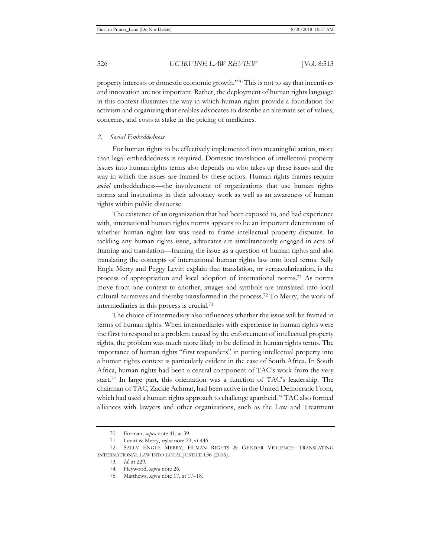property interests or domestic economic growth."70 This is not to say that incentives and innovation are not important. Rather, the deployment of human rights language in this context illustrates the way in which human rights provide a foundation for activism and organizing that enables advocates to describe an alternate set of values, concerns, and costs at stake in the pricing of medicines.

#### *2. Social Embeddedness*

For human rights to be effectively implemented into meaningful action, more than legal embeddedness is required. Domestic translation of intellectual property issues into human rights terms also depends on who takes up these issues and the way in which the issues are framed by these actors. Human rights frames require *social* embeddedness—the involvement of organizations that use human rights norms and institutions in their advocacy work as well as an awareness of human rights within public discourse.

The existence of an organization that had been exposed to, and had experience with, international human rights norms appears to be an important determinant of whether human rights law was used to frame intellectual property disputes. In tackling any human rights issue, advocates are simultaneously engaged in acts of framing and translation—framing the issue as a question of human rights and also translating the concepts of international human rights law into local terms. Sally Engle Merry and Peggy Levitt explain that translation, or vernacularization, is the process of appropriation and local adoption of international norms.71 As norms move from one context to another, images and symbols are translated into local cultural narratives and thereby transformed in the process.72 To Merry, the work of intermediaries in this process is crucial.73

The choice of intermediary also influences whether the issue will be framed in terms of human rights. When intermediaries with experience in human rights were the first to respond to a problem caused by the enforcement of intellectual property rights, the problem was much more likely to be defined in human rights terms. The importance of human rights "first responders" in putting intellectual property into a human rights context is particularly evident in the case of South Africa. In South Africa, human rights had been a central component of TAC's work from the very start.74 In large part, this orientation was a function of TAC's leadership. The chairman of TAC, Zackie Achmat, had been active in the United Democratic Front, which had used a human rights approach to challenge apartheid.75 TAC also formed alliances with lawyers and other organizations, such as the Law and Treatment

<sup>70.</sup> Forman, *supra* note 41, at 39.

<sup>71.</sup> Levitt & Merry, *supra* note 23, at 446.

<sup>72.</sup> SALLY ENGLE MERRY, HUMAN RIGHTS & GENDER VIOLENCE: TRANSLATING INTERNATIONAL LAW INTO LOCAL JUSTICE 136 (2006).

<sup>73</sup>*. Id.* at 229.

<sup>74.</sup> Heywood, *supra* note 26.

<sup>75.</sup> Matthews, *supra* note 17, at 17–18.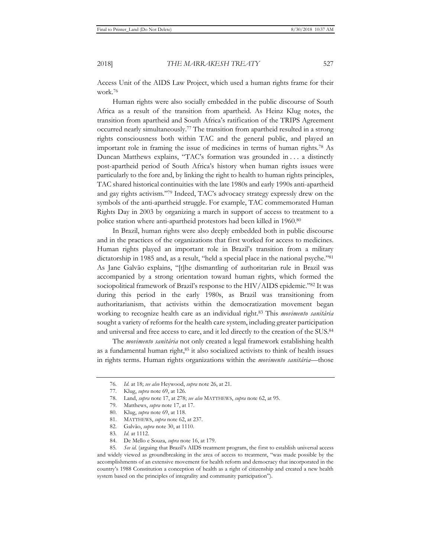Access Unit of the AIDS Law Project, which used a human rights frame for their work.76

Human rights were also socially embedded in the public discourse of South Africa as a result of the transition from apartheid. As Heinz Klug notes, the transition from apartheid and South Africa's ratification of the TRIPS Agreement occurred nearly simultaneously.77 The transition from apartheid resulted in a strong rights consciousness both within TAC and the general public, and played an important role in framing the issue of medicines in terms of human rights.78 As Duncan Matthews explains, "TAC's formation was grounded in . . . a distinctly post-apartheid period of South Africa's history when human rights issues were particularly to the fore and, by linking the right to health to human rights principles, TAC shared historical continuities with the late 1980s and early 1990s anti-apartheid and gay rights activism."79 Indeed, TAC's advocacy strategy expressly drew on the symbols of the anti-apartheid struggle. For example, TAC commemorated Human Rights Day in 2003 by organizing a march in support of access to treatment to a police station where anti-apartheid protestors had been killed in 1960.80

In Brazil, human rights were also deeply embedded both in public discourse and in the practices of the organizations that first worked for access to medicines. Human rights played an important role in Brazil's transition from a military dictatorship in 1985 and, as a result, "held a special place in the national psyche."81 As Jane Galvão explains, "[t]he dismantling of authoritarian rule in Brazil was accompanied by a strong orientation toward human rights, which formed the sociopolitical framework of Brazil's response to the HIV/AIDS epidemic."82 It was during this period in the early 1980s, as Brazil was transitioning from authoritarianism, that activists within the democratization movement began working to recognize health care as an individual right.83 This *movimento sanitária* sought a variety of reforms for the health care system, including greater participation and universal and free access to care, and it led directly to the creation of the SUS.84

The *movimento sanitária* not only created a legal framework establishing health as a fundamental human right,<sup>85</sup> it also socialized activists to think of health issues in rights terms. Human rights organizations within the *movimento sanitária*—those

<sup>76</sup>*. Id.* at 18; *see also* Heywood, *supra* note 26, at 21.

<sup>77.</sup> Klug, *supra* note 69, at 126.

<sup>78.</sup> Land, *supra* note 17, at 278; *see also* MATTHEWS, *supra* note 62, at 95.

<sup>79.</sup> Matthews, *supra* note 17, at 17.

<sup>80.</sup> Klug, *supra* note 69, at 118.

<sup>81.</sup> MATTHEWS, *supra* note 62, at 237.

<sup>82.</sup> Galvão, *supra* note 30, at 1110.

<sup>83</sup>*. Id.* at 1112.

<sup>84.</sup> De Mello e Souza, *supra* note 16, at 179.

<sup>85</sup>*. See id.* (arguing that Brazil's AIDS treatment program, the first to establish universal access and widely viewed as groundbreaking in the area of access to treatment, "was made possible by the accomplishments of an extensive movement for health reform and democracy that incorporated in the country's 1988 Constitution a conception of health as a right of citizenship and created a new health system based on the principles of integrality and community participation").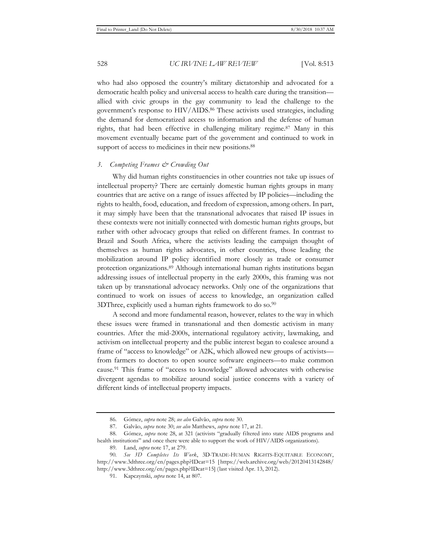who had also opposed the country's military dictatorship and advocated for a democratic health policy and universal access to health care during the transition allied with civic groups in the gay community to lead the challenge to the government's response to HIV/AIDS.86 These activists used strategies, including the demand for democratized access to information and the defense of human rights, that had been effective in challenging military regime.87 Many in this movement eventually became part of the government and continued to work in support of access to medicines in their new positions.<sup>88</sup>

#### *3. Competing Frames & Crowding Out*

Why did human rights constituencies in other countries not take up issues of intellectual property? There are certainly domestic human rights groups in many countries that are active on a range of issues affected by IP policies—including the rights to health, food, education, and freedom of expression, among others. In part, it may simply have been that the transnational advocates that raised IP issues in these contexts were not initially connected with domestic human rights groups, but rather with other advocacy groups that relied on different frames. In contrast to Brazil and South Africa, where the activists leading the campaign thought of themselves as human rights advocates, in other countries, those leading the mobilization around IP policy identified more closely as trade or consumer protection organizations.89 Although international human rights institutions began addressing issues of intellectual property in the early 2000s, this framing was not taken up by transnational advocacy networks. Only one of the organizations that continued to work on issues of access to knowledge, an organization called 3DThree, explicitly used a human rights framework to do so.90

A second and more fundamental reason, however, relates to the way in which these issues were framed in transnational and then domestic activism in many countries. After the mid-2000s, international regulatory activity, lawmaking, and activism on intellectual property and the public interest began to coalesce around a frame of "access to knowledge" or A2K, which allowed new groups of activists from farmers to doctors to open source software engineers—to make common cause.91 This frame of "access to knowledge" allowed advocates with otherwise divergent agendas to mobilize around social justice concerns with a variety of different kinds of intellectual property impacts.

<sup>86.</sup> Gómez, *supra* note 28; *see also* Galvão, *supra* note 30.

<sup>87.</sup> Galvão, *supra* note 30; *see also* Matthews, *supra* note 17, at 21.

<sup>88.</sup> Gómez, *supra* note 28, at 321 (activists "gradually filtered into state AIDS programs and health institutions" and once there were able to support the work of HIV/AIDS organizations).

<sup>89.</sup> Land, *supra* note 17, at 279.

<sup>90</sup>*. See 3D Completes Its Work*, 3D-TRADE-HUMAN RIGHTS-EQUITABLE ECONOMY, http://www.3dthree.org/en/pages.php?IDcat=15 [ https://web.archive.org/web/20120413142848/ http://www.3dthree.org/en/pages.php?IDcat=15] (last visited Apr. 13, 2012).

<sup>91.</sup> Kapczynski, *supra* note 14, at 807.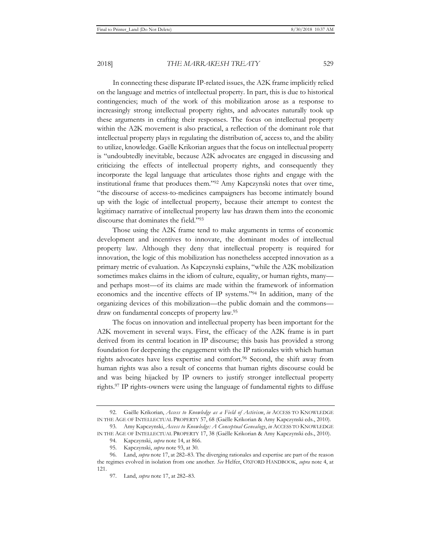In connecting these disparate IP-related issues, the A2K frame implicitly relied on the language and metrics of intellectual property. In part, this is due to historical contingencies; much of the work of this mobilization arose as a response to increasingly strong intellectual property rights, and advocates naturally took up these arguments in crafting their responses. The focus on intellectual property within the A2K movement is also practical, a reflection of the dominant role that intellectual property plays in regulating the distribution of, access to, and the ability to utilize, knowledge. Gaëlle Krikorian argues that the focus on intellectual property is "undoubtedly inevitable, because A2K advocates are engaged in discussing and criticizing the effects of intellectual property rights, and consequently they incorporate the legal language that articulates those rights and engage with the institutional frame that produces them."92 Amy Kapczynski notes that over time, "the discourse of access-to-medicines campaigners has become intimately bound up with the logic of intellectual property, because their attempt to contest the legitimacy narrative of intellectual property law has drawn them into the economic discourse that dominates the field."93

Those using the A2K frame tend to make arguments in terms of economic development and incentives to innovate, the dominant modes of intellectual property law. Although they deny that intellectual property is required for innovation, the logic of this mobilization has nonetheless accepted innovation as a primary metric of evaluation. As Kapczynski explains, "while the A2K mobilization sometimes makes claims in the idiom of culture, equality, or human rights, many and perhaps most—of its claims are made within the framework of information economics and the incentive effects of IP systems."94 In addition, many of the organizing devices of this mobilization—the public domain and the commons draw on fundamental concepts of property law.95

The focus on innovation and intellectual property has been important for the A2K movement in several ways. First, the efficacy of the A2K frame is in part derived from its central location in IP discourse; this basis has provided a strong foundation for deepening the engagement with the IP rationales with which human rights advocates have less expertise and comfort.96 Second, the shift away from human rights was also a result of concerns that human rights discourse could be and was being hijacked by IP owners to justify stronger intellectual property rights.97 IP rights-owners were using the language of fundamental rights to diffuse

<sup>92.</sup> Gaëlle Krikorian, *Access to Knowledge as a Field of Activism*, *in* ACCESS TO KNOWLEDGE IN THE AGE OF INTELLECTUAL PROPERTY 57, 68 (Gaëlle Krikorian & Amy Kapczynski eds., 2010).

<sup>93.</sup> Amy Kapczynski, *Access to Knowledge: A Conceptual Genealogy*, *in* ACCESS TO KNOWLEDGE IN THE AGE OF INTELLECTUAL PROPERTY 17, 38 (Gaëlle Krikorian & Amy Kapczynski eds., 2010).

<sup>94.</sup> Kapczynski, *supra* note 14, at 866.

<sup>95.</sup> Kapczynski, *supra* note 93, at 30.

<sup>96.</sup> Land, *supra* note 17, at 282–83. The diverging rationales and expertise are part of the reason the regimes evolved in isolation from one another. *See* Helfer, OXFORD HANDBOOK, *supra* note 4, at 121.

<sup>97.</sup> Land, *supra* note 17, at 282–83.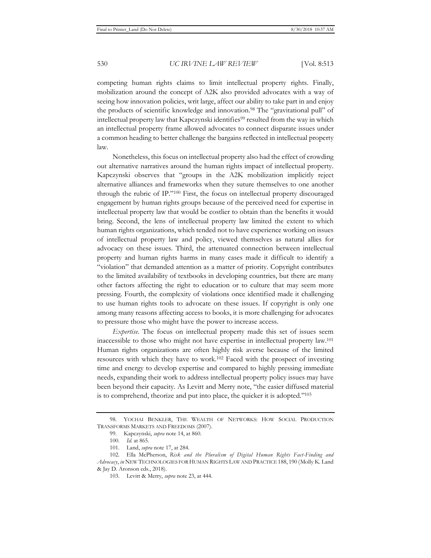competing human rights claims to limit intellectual property rights. Finally, mobilization around the concept of A2K also provided advocates with a way of seeing how innovation policies, writ large, affect our ability to take part in and enjoy the products of scientific knowledge and innovation.98 The "gravitational pull" of intellectual property law that Kapczynski identifies<sup>99</sup> resulted from the way in which an intellectual property frame allowed advocates to connect disparate issues under a common heading to better challenge the bargains reflected in intellectual property law.

Nonetheless, this focus on intellectual property also had the effect of crowding out alternative narratives around the human rights impact of intellectual property. Kapczynski observes that "groups in the A2K mobilization implicitly reject alternative alliances and frameworks when they suture themselves to one another through the rubric of IP."100 First, the focus on intellectual property discouraged engagement by human rights groups because of the perceived need for expertise in intellectual property law that would be costlier to obtain than the benefits it would bring. Second, the lens of intellectual property law limited the extent to which human rights organizations, which tended not to have experience working on issues of intellectual property law and policy, viewed themselves as natural allies for advocacy on these issues. Third, the attenuated connection between intellectual property and human rights harms in many cases made it difficult to identify a "violation" that demanded attention as a matter of priority. Copyright contributes to the limited availability of textbooks in developing countries, but there are many other factors affecting the right to education or to culture that may seem more pressing. Fourth, the complexity of violations once identified made it challenging to use human rights tools to advocate on these issues. If copyright is only one among many reasons affecting access to books, it is more challenging for advocates to pressure those who might have the power to increase access.

*Expertise.* The focus on intellectual property made this set of issues seem inaccessible to those who might not have expertise in intellectual property law.101 Human rights organizations are often highly risk averse because of the limited resources with which they have to work.102 Faced with the prospect of investing time and energy to develop expertise and compared to highly pressing immediate needs, expanding their work to address intellectual property policy issues may have been beyond their capacity. As Levitt and Merry note, "the easier diffused material is to comprehend, theorize and put into place, the quicker it is adopted."103

<sup>98.</sup> YOCHAI BENKLER, THE WEALTH OF NETWORKS: HOW SOCIAL PRODUCTION TRANSFORMS MARKETS AND FREEDOMS (2007).

<sup>99.</sup> Kapczynski, *supra* note 14, at 860.

<sup>100</sup>*. Id.* at 865.

<sup>101.</sup> Land, *supra* note 17, at 284.

<sup>102.</sup> Ella McPherson, *Risk and the Pluralism of Digital Human Rights Fact-Finding and Advocacy*, *in* NEW TECHNOLOGIES FOR HUMAN RIGHTS LAW AND PRACTICE 188, 190 (Molly K. Land & Jay D. Aronson eds., 2018).

<sup>103.</sup> Levitt & Merry, *supra* note 23, at 444.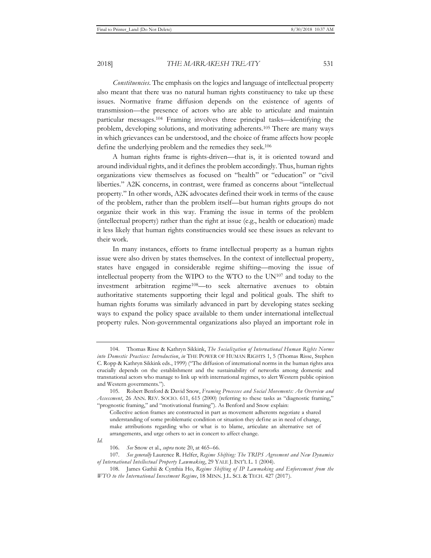*Constituencies.* The emphasis on the logics and language of intellectual property also meant that there was no natural human rights constituency to take up these issues. Normative frame diffusion depends on the existence of agents of transmission—the presence of actors who are able to articulate and maintain particular messages.104 Framing involves three principal tasks—identifying the problem, developing solutions, and motivating adherents.105 There are many ways in which grievances can be understood, and the choice of frame affects how people define the underlying problem and the remedies they seek.106

A human rights frame is rights-driven—that is, it is oriented toward and around individual rights, and it defines the problem accordingly. Thus, human rights organizations view themselves as focused on "health" or "education" or "civil liberties." A2K concerns, in contrast, were framed as concerns about "intellectual property." In other words, A2K advocates defined their work in terms of the cause of the problem, rather than the problem itself—but human rights groups do not organize their work in this way. Framing the issue in terms of the problem (intellectual property) rather than the right at issue (e.g., health or education) made it less likely that human rights constituencies would see these issues as relevant to their work.

In many instances, efforts to frame intellectual property as a human rights issue were also driven by states themselves. In the context of intellectual property, states have engaged in considerable regime shifting—moving the issue of intellectual property from the WIPO to the WTO to the UN107 and today to the investment arbitration regime108—to seek alternative avenues to obtain authoritative statements supporting their legal and political goals. The shift to human rights forums was similarly advanced in part by developing states seeking ways to expand the policy space available to them under international intellectual property rules. Non-governmental organizations also played an important role in

<sup>104.</sup> Thomas Risse & Kathryn Sikkink, *The Socialization of International Human Rights Norms into Domestic Practices: Introduction*, *in* THE POWER OF HUMAN RIGHTS 1, 5 (Thomas Risse, Stephen C. Ropp & Kathryn Sikkink eds., 1999) ("The diffusion of international norms in the human rights area crucially depends on the establishment and the sustainability of networks among domestic and transnational actors who manage to link up with international regimes, to alert Western public opinion and Western governments.").

<sup>105.</sup> Robert Benford & David Snow, *Framing Processes and Social Movements: An Overview and Assessment*, 26 ANN. REV. SOCIO. 611, 615 (2000) (referring to these tasks as "diagnostic framing," "prognostic framing," and "motivational framing"). As Benford and Snow explain:

Collective action frames are constructed in part as movement adherents negotiate a shared understanding of some problematic condition or situation they define as in need of change, make attributions regarding who or what is to blame, articulate an alternative set of arrangements, and urge others to act in concert to affect change.

*Id.*

<sup>106</sup>*. See* Snow et al., *supra* note 20, at 465–66.

<sup>107</sup>*. See generally* Laurence R. Helfer, *Regime Shifting: The TRIPS Agreement and New Dynamics of International Intellectual Property Lawmaking*, 29 YALE J. INT'L L. 1 (2004).

<sup>108.</sup> James Gathii & Cynthia Ho, *Regime Shifting of IP Lawmaking and Enforcement from the WTO to the International Investment Regime*, 18 MINN. J.L. SCI. & TECH. 427 (2017).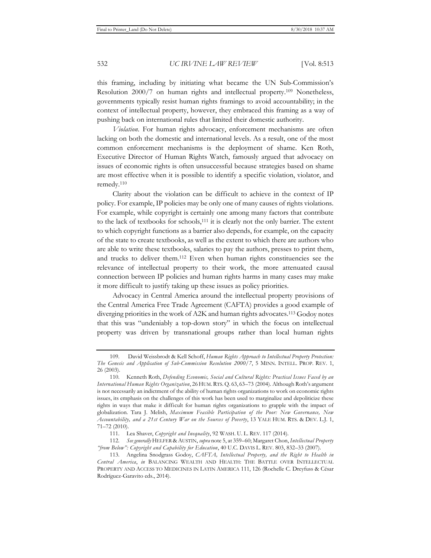this framing, including by initiating what became the UN Sub-Commission's Resolution 2000/7 on human rights and intellectual property.109 Nonetheless, governments typically resist human rights framings to avoid accountability; in the context of intellectual property, however, they embraced this framing as a way of pushing back on international rules that limited their domestic authority.

*Violation.* For human rights advocacy, enforcement mechanisms are often lacking on both the domestic and international levels. As a result, one of the most common enforcement mechanisms is the deployment of shame. Ken Roth, Executive Director of Human Rights Watch, famously argued that advocacy on issues of economic rights is often unsuccessful because strategies based on shame are most effective when it is possible to identify a specific violation, violator, and remedy.110

Clarity about the violation can be difficult to achieve in the context of IP policy. For example, IP policies may be only one of many causes of rights violations. For example, while copyright is certainly one among many factors that contribute to the lack of textbooks for schools,111 it is clearly not the only barrier. The extent to which copyright functions as a barrier also depends, for example, on the capacity of the state to create textbooks, as well as the extent to which there are authors who are able to write these textbooks, salaries to pay the authors, presses to print them, and trucks to deliver them.112 Even when human rights constituencies see the relevance of intellectual property to their work, the more attenuated causal connection between IP policies and human rights harms in many cases may make it more difficult to justify taking up these issues as policy priorities.

Advocacy in Central America around the intellectual property provisions of the Central America Free Trade Agreement (CAFTA) provides a good example of diverging priorities in the work of A2K and human rights advocates.113 Godoy notes that this was "undeniably a top-down story" in which the focus on intellectual property was driven by transnational groups rather than local human rights

<sup>109.</sup> David Weissbrodt & Kell Schoff, *Human Rights Approach to Intellectual Property Protection: The Genesis and Application of Sub-Commission Resolution 2000/7*, 5 MINN. INTELL. PROP. REV. 1, 26 (2003).

<sup>110.</sup> Kenneth Roth, *Defending Economic, Social and Cultural Rights: Practical Issues Faced by an International Human Rights Organization*, 26 HUM.RTS. Q. 63, 63–73 (2004). Although Roth's argument is not necessarily an indictment of the ability of human rights organizations to work on economic rights issues, its emphasis on the challenges of this work has been used to marginalize and depoliticize these rights in ways that make it difficult for human rights organizations to grapple with the impact of globalization. Tara J. Melish, *Maximum Feasible Participation of the Poor: New Governance, New Accountability, and a 21st Century War on the Sources of Poverty*, 13 YALE HUM. RTS. & DEV. L.J. 1, 71–72 (2010).

<sup>111.</sup> Lea Shaver, *Copyright and Inequality*, 92 WASH. U. L. REV. 117 (2014).

<sup>112</sup>*. See generally* HELFER & AUSTIN, *supra* note 5, at 359–60; Margaret Chon, *Intellectual Property "from Below": Copyright and Capability for Education*, 40 U.C. DAVIS L. REV. 803, 832–33 (2007).

<sup>113.</sup> Angelina Snodgrass Godoy, *CAFTA, Intellectual Property, and the Right to Health in Central America*, *in* BALANCING WEALTH AND HEALTH: THE BATTLE OVER INTELLECTUAL PROPERTY AND ACCESS TO MEDICINES IN LATIN AMERICA 111, 126 (Rochelle C. Dreyfuss & César Rodríguez-Garavito eds., 2014).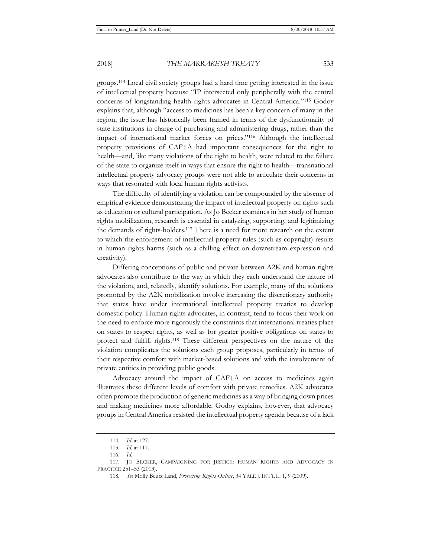groups.114 Local civil society groups had a hard time getting interested in the issue of intellectual property because "IP intersected only peripherally with the central concerns of longstanding health rights advocates in Central America."115 Godoy explains that, although "access to medicines has been a key concern of many in the region, the issue has historically been framed in terms of the dysfunctionality of state institutions in charge of purchasing and administering drugs, rather than the impact of international market forces on prices."116 Although the intellectual property provisions of CAFTA had important consequences for the right to health—and, like many violations of the right to health, were related to the failure of the state to organize itself in ways that ensure the right to health—transnational intellectual property advocacy groups were not able to articulate their concerns in ways that resonated with local human rights activists.

The difficulty of identifying a violation can be compounded by the absence of empirical evidence demonstrating the impact of intellectual property on rights such as education or cultural participation. As Jo Becker examines in her study of human rights mobilization, research is essential in catalyzing, supporting, and legitimizing the demands of rights-holders.117 There is a need for more research on the extent to which the enforcement of intellectual property rules (such as copyright) results in human rights harms (such as a chilling effect on downstream expression and creativity).

Differing conceptions of public and private between A2K and human rights advocates also contribute to the way in which they each understand the nature of the violation, and, relatedly, identify solutions. For example, many of the solutions promoted by the A2K mobilization involve increasing the discretionary authority that states have under international intellectual property treaties to develop domestic policy. Human rights advocates, in contrast, tend to focus their work on the need to enforce more rigorously the constraints that international treaties place on states to respect rights, as well as for greater positive obligations on states to protect and fulfill rights.118 These different perspectives on the nature of the violation complicates the solutions each group proposes, particularly in terms of their respective comfort with market-based solutions and with the involvement of private entities in providing public goods.

Advocacy around the impact of CAFTA on access to medicines again illustrates these different levels of comfort with private remedies. A2K advocates often promote the production of generic medicines as a way of bringing down prices and making medicines more affordable. Godoy explains, however, that advocacy groups in Central America resisted the intellectual property agenda because of a lack

<sup>114</sup>*. Id.* at 127.

<sup>115</sup>*. Id.* at 117.

<sup>116</sup>*. Id.*

<sup>117.</sup> JO BECKER, CAMPAIGNING FOR JUSTICE: HUMAN RIGHTS AND ADVOCACY IN PRACTICE 251–53 (2013).

<sup>118</sup>*. See* Molly Beutz Land, *Protecting Rights Online*, 34 YALE J. INT'L L. 1, 9 (2009).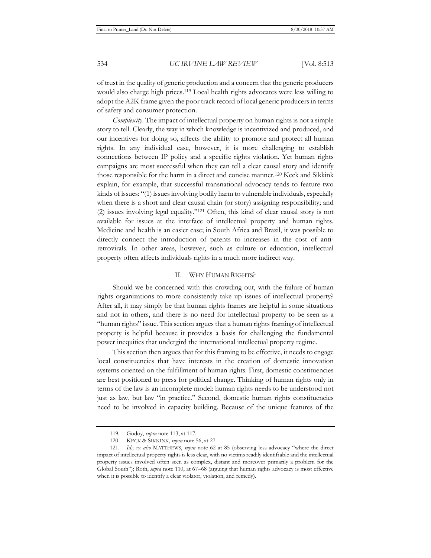of trust in the quality of generic production and a concern that the generic producers would also charge high prices.119 Local health rights advocates were less willing to adopt the A2K frame given the poor track record of local generic producers in terms of safety and consumer protection.

*Complexity*. The impact of intellectual property on human rights is not a simple story to tell. Clearly, the way in which knowledge is incentivized and produced, and our incentives for doing so, affects the ability to promote and protect all human rights. In any individual case, however, it is more challenging to establish connections between IP policy and a specific rights violation. Yet human rights campaigns are most successful when they can tell a clear causal story and identify those responsible for the harm in a direct and concise manner.120 Keck and Sikkink explain, for example, that successful transnational advocacy tends to feature two kinds of issues: "(1) issues involving bodily harm to vulnerable individuals, especially when there is a short and clear causal chain (or story) assigning responsibility; and (2) issues involving legal equality."121 Often, this kind of clear causal story is not available for issues at the interface of intellectual property and human rights. Medicine and health is an easier case; in South Africa and Brazil, it was possible to directly connect the introduction of patents to increases in the cost of antiretrovirals. In other areas, however, such as culture or education, intellectual property often affects individuals rights in a much more indirect way.

#### II. WHY HUMAN RIGHTS?

Should we be concerned with this crowding out, with the failure of human rights organizations to more consistently take up issues of intellectual property? After all, it may simply be that human rights frames are helpful in some situations and not in others, and there is no need for intellectual property to be seen as a "human rights" issue. This section argues that a human rights framing of intellectual property is helpful because it provides a basis for challenging the fundamental power inequities that undergird the international intellectual property regime.

This section then argues that for this framing to be effective, it needs to engage local constituencies that have interests in the creation of domestic innovation systems oriented on the fulfillment of human rights. First, domestic constituencies are best positioned to press for political change. Thinking of human rights only in terms of the law is an incomplete model: human rights needs to be understood not just as law, but law "in practice." Second, domestic human rights constituencies need to be involved in capacity building. Because of the unique features of the

<sup>119.</sup> Godoy, *supra* note 113, at 117.

<sup>120.</sup> KECK & SIKKINK, *supra* note 56, at 27.

<sup>121</sup>*. Id.*; *see also* MATTHEWS, *supra* note 62 at 85 (observing less advocacy "where the direct impact of intellectual property rights is less clear, with no victims readily identifiable and the intellectual property issues involved often seen as complex, distant and moreover primarily a problem for the Global South"); Roth, *supra* note 110, at 67–68 (arguing that human rights advocacy is most effective when it is possible to identify a clear violator, violation, and remedy).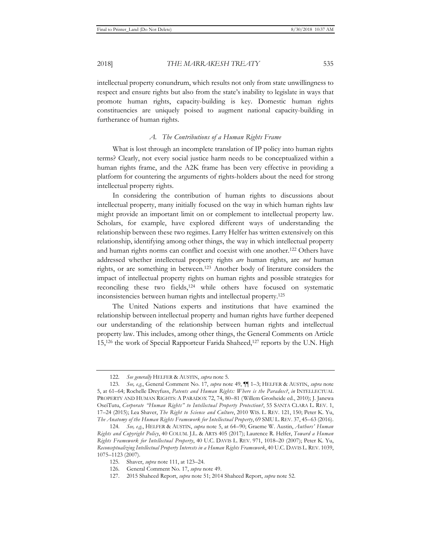intellectual property conundrum, which results not only from state unwillingness to respect and ensure rights but also from the state's inability to legislate in ways that promote human rights, capacity-building is key. Domestic human rights constituencies are uniquely poised to augment national capacity-building in furtherance of human rights.

# *A. The Contributions of a Human Rights Frame*

What is lost through an incomplete translation of IP policy into human rights terms? Clearly, not every social justice harm needs to be conceptualized within a human rights frame, and the A2K frame has been very effective in providing a platform for countering the arguments of rights-holders about the need for strong intellectual property rights.

In considering the contribution of human rights to discussions about intellectual property, many initially focused on the way in which human rights law might provide an important limit on or complement to intellectual property law. Scholars, for example, have explored different ways of understanding the relationship between these two regimes. Larry Helfer has written extensively on this relationship, identifying among other things, the way in which intellectual property and human rights norms can conflict and coexist with one another.122 Others have addressed whether intellectual property rights *are* human rights, are *not* human rights, or are something in between.123 Another body of literature considers the impact of intellectual property rights on human rights and possible strategies for reconciling these two fields,<sup>124</sup> while others have focused on systematic inconsistencies between human rights and intellectual property.125

The United Nations experts and institutions that have examined the relationship between intellectual property and human rights have further deepened our understanding of the relationship between human rights and intellectual property law. This includes, among other things, the General Comments on Article 15,<sup>126</sup> the work of Special Rapporteur Farida Shaheed,<sup>127</sup> reports by the U.N. High

<sup>122</sup>*. See generally* HELFER & AUSTIN, *supra* note 5.

<sup>123</sup>*. See, e.g.*, General Comment No. 17, *supra* note 49, ¶¶ 1–3; HELFER & AUSTIN, *supra* note 5, at 61–64; Rochelle Dreyfuss, *Patents and Human Rights: Where is the Paradox?*, *in* INTELLECTUAL PROPERTY AND HUMAN RIGHTS: A PARADOX 72, 74, 80–81 (Willem Grosheide ed., 2010); J. Janewa OseiTutu, *Corporate "Human Rights" to Intellectual Property Protection?*, 55 SANTA CLARA L. REV. 1, 17–24 (2015); Lea Shaver, *The Right to Science and Culture*, 2010 WIS. L. REV. 121, 150; Peter K. Yu, *The Anatomy of the Human Rights Framework for Intellectual Property*, 69 SMU L. REV. 37, 45–63 (2016).

<sup>124</sup>*. See, e.g.*, HELFER & AUSTIN, *supra* note 5, at 64–90; Graeme W. Austin, *Authors' Human Rights and Copyright Policy*, 40 COLUM. J.L. & ARTS 405 (2017); Laurence R. Helfer, *Toward a Human Rights Framework for Intellectual Property*, 40 U.C. DAVIS L. REV. 971, 1018–20 (2007); Peter K. Yu, *Reconceptualizing Intellectual Property Interests in a Human Rights Framework*, 40 U.C. DAVIS L. REV. 1039, 1075–1123 (2007).

<sup>125.</sup> Shaver, *supra* note 111, at 123–24.

<sup>126</sup>*.* General Comment No. 17, *supra* note 49.

<sup>127. 2015</sup> Shaheed Report, *supra* note 51; 2014 Shaheed Report, *supra* note 52.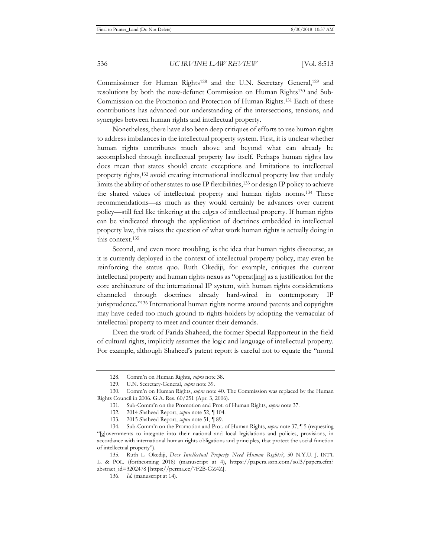Commissioner for Human Rights<sup>128</sup> and the U.N. Secretary General,<sup>129</sup> and resolutions by both the now-defunct Commission on Human Rights130 and Sub-Commission on the Promotion and Protection of Human Rights.131 Each of these contributions has advanced our understanding of the intersections, tensions, and synergies between human rights and intellectual property.

Nonetheless, there have also been deep critiques of efforts to use human rights to address imbalances in the intellectual property system. First, it is unclear whether human rights contributes much above and beyond what can already be accomplished through intellectual property law itself. Perhaps human rights law does mean that states should create exceptions and limitations to intellectual property rights,132 avoid creating international intellectual property law that unduly limits the ability of other states to use IP flexibilities,133 or design IP policy to achieve the shared values of intellectual property and human rights norms.134 These recommendations—as much as they would certainly be advances over current policy—still feel like tinkering at the edges of intellectual property. If human rights can be vindicated through the application of doctrines embedded in intellectual property law, this raises the question of what work human rights is actually doing in this context.135

Second, and even more troubling, is the idea that human rights discourse, as it is currently deployed in the context of intellectual property policy, may even be reinforcing the status quo. Ruth Okediji, for example, critiques the current intellectual property and human rights nexus as "operat[ing] as a justification for the core architecture of the international IP system, with human rights considerations channeled through doctrines already hard-wired in contemporary IP jurisprudence."136 International human rights norms around patents and copyrights may have ceded too much ground to rights-holders by adopting the vernacular of intellectual property to meet and counter their demands.

Even the work of Farida Shaheed, the former Special Rapporteur in the field of cultural rights, implicitly assumes the logic and language of intellectual property. For example, although Shaheed's patent report is careful not to equate the "moral

<sup>128.</sup> Comm'n on Human Rights, *supra* note 38.

<sup>129.</sup> U.N. Secretary-General, *supra* note 39.

<sup>130.</sup> Comm'n on Human Rights, *supra* note 40. The Commission was replaced by the Human Rights Council in 2006. G.A. Res. 60/251 (Apr. 3, 2006).

<sup>131.</sup> Sub-Comm'n on the Promotion and Prot. of Human Rights, *supra* note 37.

<sup>132. 2014</sup> Shaheed Report, *supra* note 52, ¶ 104.

<sup>133. 2015</sup> Shaheed Report, *supra* note 51, ¶ 89.

<sup>134.</sup> Sub-Comm'n on the Promotion and Prot. of Human Rights, *supra* note 37, ¶ 5 (requesting "[g]overnments to integrate into their national and local legislations and policies, provisions, in accordance with international human rights obligations and principles, that protect the social function of intellectual property").

<sup>135</sup>*.* Ruth L. Okediji, *Does Intellectual Property Need Human Rights?*, 50 N.Y.U. J. INT'L L. & POL. (forthcoming 2018) (manuscript at 4), https://papers.ssrn.com/sol3/papers.cfm? abstract\_id=3202478 [ https://perma.cc/7F2B-GZ4Z].

<sup>136.</sup> *Id.* (manuscript at 14).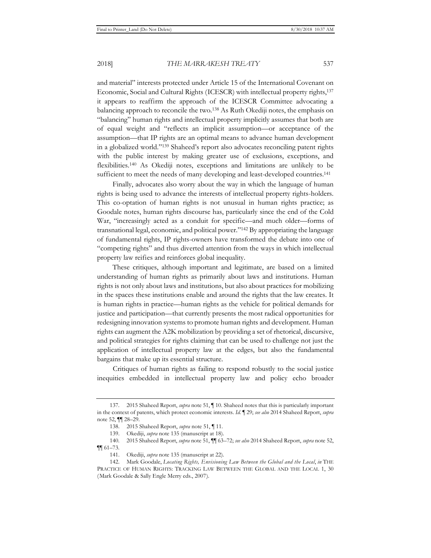and material" interests protected under Article 15 of the International Covenant on Economic, Social and Cultural Rights (ICESCR) with intellectual property rights,137 it appears to reaffirm the approach of the ICESCR Committee advocating a balancing approach to reconcile the two.138 As Ruth Okediji notes, the emphasis on "balancing" human rights and intellectual property implicitly assumes that both are of equal weight and "reflects an implicit assumption—or acceptance of the assumption—that IP rights are an optimal means to advance human development in a globalized world."139 Shaheed's report also advocates reconciling patent rights with the public interest by making greater use of exclusions, exceptions, and flexibilities.140 As Okediji notes, exceptions and limitations are unlikely to be sufficient to meet the needs of many developing and least-developed countries.<sup>141</sup>

Finally, advocates also worry about the way in which the language of human rights is being used to advance the interests of intellectual property rights-holders. This co-optation of human rights is not unusual in human rights practice; as Goodale notes, human rights discourse has, particularly since the end of the Cold War, "increasingly acted as a conduit for specific—and much older—forms of transnational legal, economic, and political power."142 By appropriating the language of fundamental rights, IP rights-owners have transformed the debate into one of "competing rights" and thus diverted attention from the ways in which intellectual property law reifies and reinforces global inequality.

These critiques, although important and legitimate, are based on a limited understanding of human rights as primarily about laws and institutions. Human rights is not only about laws and institutions, but also about practices for mobilizing in the spaces these institutions enable and around the rights that the law creates. It is human rights in practice—human rights as the vehicle for political demands for justice and participation—that currently presents the most radical opportunities for redesigning innovation systems to promote human rights and development. Human rights can augment the A2K mobilization by providing a set of rhetorical, discursive, and political strategies for rights claiming that can be used to challenge not just the application of intellectual property law at the edges, but also the fundamental bargains that make up its essential structure.

Critiques of human rights as failing to respond robustly to the social justice inequities embedded in intellectual property law and policy echo broader

<sup>137. 2015</sup> Shaheed Report, *supra* note 51, ¶ 10. Shaheed notes that this is particularly important in the context of patents, which protect economic interests. *Id.* ¶ 29; *see also* 2014 Shaheed Report, *supra* note 52, ¶¶ 28–29.

<sup>138. 2015</sup> Shaheed Report, *supra* note 51, ¶ 11.

<sup>139.</sup> Okediji, *supra* note 135 (manuscript at 18).

<sup>140. 2015</sup> Shaheed Report, *supra* note 51, ¶¶ 63–72; *see also* 2014 Shaheed Report, *supra* note 52, ¶¶ 61–73.

<sup>141.</sup> Okediji, *supra* note 135 (manuscript at 22).

<sup>142.</sup> Mark Goodale, *Locating Rights, Envisioning Law Between the Global and the Local*, *in* THE PRACTICE OF HUMAN RIGHTS: TRACKING LAW BETWEEN THE GLOBAL AND THE LOCAL 1, 30 (Mark Goodale & Sally Engle Merry eds., 2007).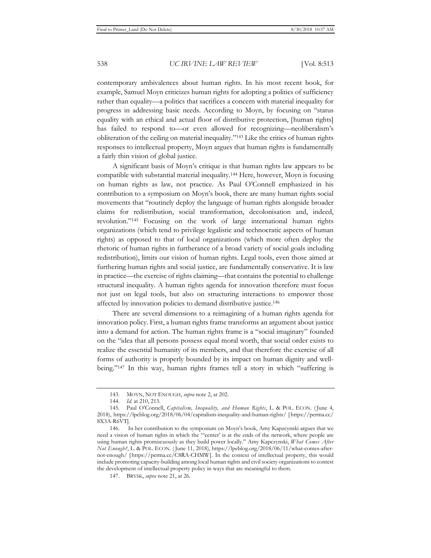contemporary ambivalences about human rights. In his most recent book, for example, Samuel Moyn criticizes human rights for adopting a politics of sufficiency rather than equality—a politics that sacrifices a concern with material inequality for progress in addressing basic needs. According to Moyn, by focusing on "status equality with an ethical and actual floor of distributive protection, [human rights] has failed to respond to—or even allowed for recognizing—neoliberalism's obliteration of the ceiling on material inequality."143 Like the critics of human rights responses to intellectual property, Moyn argues that human rights is fundamentally a fairly thin vision of global justice.

A significant basis of Moyn's critique is that human rights law appears to be compatible with substantial material inequality.144 Here, however, Moyn is focusing on human rights as law, not practice. As Paul O'Connell emphasized in his contribution to a symposium on Moyn's book, there are many human rights social movements that "routinely deploy the language of human rights alongside broader claims for redistribution, social transformation, decolonisation and, indeed, revolution."145 Focusing on the work of large international human rights organizations (which tend to privilege legalistic and technocratic aspects of human rights) as opposed to that of local organizations (which more often deploy the rhetoric of human rights in furtherance of a broad variety of social goals including redistribution), limits our vision of human rights. Legal tools, even those aimed at furthering human rights and social justice, are fundamentally conservative. It is law in practice—the exercise of rights claiming—that contains the potential to challenge structural inequality. A human rights agenda for innovation therefore must focus not just on legal tools, but also on structuring interactions to empower those affected by innovation policies to demand distributive justice.146

There are several dimensions to a reimagining of a human rights agenda for innovation policy. First, a human rights frame transforms an argument about justice into a demand for action. The human rights frame is a "social imaginary" founded on the "idea that all persons possess equal moral worth, that social order exists to realize the essential humanity of its members, and that therefore the exercise of all forms of authority is properly bounded by its impact on human dignity and wellbeing."147 In this way, human rights frames tell a story in which "suffering is

<sup>143.</sup> MOYN, NOT ENOUGH, *supra* note 2, at 202.

<sup>144.</sup> *Id.* at 210, 213.

<sup>145.</sup> Paul O'Connell, *Capitalism, Inequality, and Human Rights*, L. & POL. ECON. ( June 4, 2018), https://lpeblog.org/2018/06/04/capitalism-inequality-and-human-rights/ [ https://perma.cc/ 8X3A-R6VT].

<sup>146.</sup> In her contribution to the symposium on Moyn's book, Amy Kapzcynski argues that we need a vision of human rights in which the "'center' is at the ends of the network, where people are using human rights promiscuously as they build power locally." Amy Kapczynski, *What Comes After Not Enough?*, L. & POL. ECON. ( June 11, 2018), https://lpeblog.org/2018/06/11/what-comes-afternot-enough/ [ https://perma.cc/C8RA-CHMW]. In the context of intellectual property, this would include promoting capacity-building among local human rights and civil society organizations to contest the development of intellectual property policy in ways that are meaningful to them.

<sup>147.</sup> BRYSK, *supra* note 21, at 26.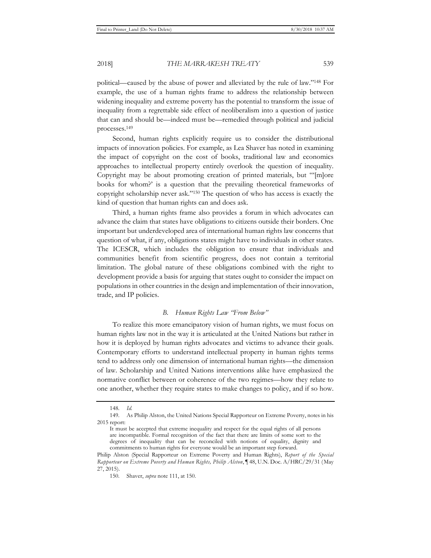political—caused by the abuse of power and alleviated by the rule of law."148 For example, the use of a human rights frame to address the relationship between widening inequality and extreme poverty has the potential to transform the issue of inequality from a regrettable side effect of neoliberalism into a question of justice that can and should be—indeed must be—remedied through political and judicial processes.149

Second, human rights explicitly require us to consider the distributional impacts of innovation policies. For example, as Lea Shaver has noted in examining the impact of copyright on the cost of books, traditional law and economics approaches to intellectual property entirely overlook the question of inequality. Copyright may be about promoting creation of printed materials, but "'[m]ore books for whom?' is a question that the prevailing theoretical frameworks of copyright scholarship never ask."150 The question of who has access is exactly the kind of question that human rights can and does ask.

Third, a human rights frame also provides a forum in which advocates can advance the claim that states have obligations to citizens outside their borders. One important but underdeveloped area of international human rights law concerns that question of what, if any, obligations states might have to individuals in other states. The ICESCR, which includes the obligation to ensure that individuals and communities benefit from scientific progress, does not contain a territorial limitation. The global nature of these obligations combined with the right to development provide a basis for arguing that states ought to consider the impact on populations in other countries in the design and implementation of their innovation, trade, and IP policies.

#### *B. Human Rights Law "From Below"*

To realize this more emancipatory vision of human rights, we must focus on human rights law not in the way it is articulated at the United Nations but rather in how it is deployed by human rights advocates and victims to advance their goals. Contemporary efforts to understand intellectual property in human rights terms tend to address only one dimension of international human rights—the dimension of law. Scholarship and United Nations interventions alike have emphasized the normative conflict between or coherence of the two regimes—how they relate to one another, whether they require states to make changes to policy, and if so how.

<sup>148</sup>*. Id.*

<sup>149.</sup> As Philip Alston, the United Nations Special Rapporteur on Extreme Poverty, notes in his 2015 report:

It must be accepted that extreme inequality and respect for the equal rights of all persons are incompatible. Formal recognition of the fact that there are limits of some sort to the degrees of inequality that can be reconciled with notions of equality, dignity and commitments to human rights for everyone would be an important step forward.

Philip Alston (Special Rapporteur on Extreme Poverty and Human Rights), *Report of the Special Rapporteur on Extreme Poverty and Human Rights, Philip Alston*, ¶ 48, U.N. Doc. A/HRC/29/31 (May 27, 2015).

<sup>150.</sup> Shaver, *supra* note 111, at 150.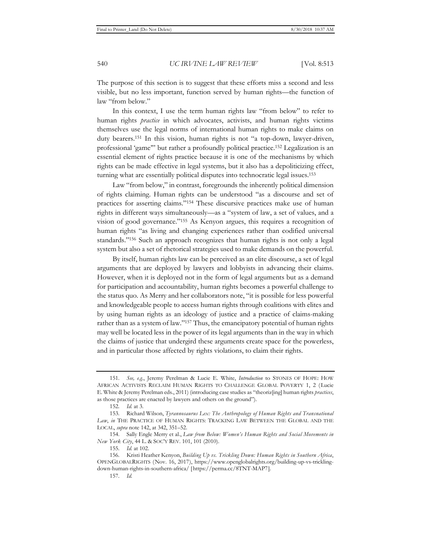The purpose of this section is to suggest that these efforts miss a second and less visible, but no less important, function served by human rights—the function of law "from below."

In this context, I use the term human rights law "from below" to refer to human rights *practice* in which advocates, activists, and human rights victims themselves use the legal norms of international human rights to make claims on duty bearers.151 In this vision, human rights is not "a top-down, lawyer-driven, professional 'game'" but rather a profoundly political practice.152 Legalization is an essential element of rights practice because it is one of the mechanisms by which rights can be made effective in legal systems, but it also has a depoliticizing effect, turning what are essentially political disputes into technocratic legal issues.153

Law "from below," in contrast, foregrounds the inherently political dimension of rights claiming. Human rights can be understood "as a discourse and set of practices for asserting claims."154 These discursive practices make use of human rights in different ways simultaneously—as a "system of law, a set of values, and a vision of good governance."155 As Kenyon argues, this requires a recognition of human rights "as living and changing experiences rather than codified universal standards."156 Such an approach recognizes that human rights is not only a legal system but also a set of rhetorical strategies used to make demands on the powerful.

By itself, human rights law can be perceived as an elite discourse, a set of legal arguments that are deployed by lawyers and lobbyists in advancing their claims. However, when it is deployed not in the form of legal arguments but as a demand for participation and accountability, human rights becomes a powerful challenge to the status quo. As Merry and her collaborators note, "it is possible for less powerful and knowledgeable people to access human rights through coalitions with elites and by using human rights as an ideology of justice and a practice of claims-making rather than as a system of law."<sup>157</sup> Thus, the emancipatory potential of human rights may well be located less in the power of its legal arguments than in the way in which the claims of justice that undergird these arguments create space for the powerless, and in particular those affected by rights violations, to claim their rights.

<sup>151</sup>*. See, e.g.*, Jeremy Perelman & Lucie E. White, *Introduction* to STONES OF HOPE: HOW AFRICAN ACTIVISTS RECLAIM HUMAN RIGHTS TO CHALLENGE GLOBAL POVERTY 1, 2 (Lucie E. White & Jeremy Perelman eds., 2011) (introducing case studies as "theoriz[ing] human rights *practices*, as those practices are enacted by lawyers and others on the ground").

<sup>152</sup>*. Id.* at 3.

<sup>153.</sup> Richard Wilson, *Tyrannosaurus Lex: The Anthropology of Human Rights and Transnational Law*, *in* THE PRACTICE OF HUMAN RIGHTS: TRACKING LAW BETWEEN THE GLOBAL AND THE LOCAL, *supra* note 142, at 342, 351–52.

<sup>154.</sup> Sally Engle Merry et al., *Law from Below: Women's Human Rights and Social Movements in New York City*, 44 L. & SOC'Y REV. 101, 101 (2010).

<sup>155</sup>*. Id.* at 102.

<sup>156</sup>*.* Kristi Heather Kenyon, *Building Up vs. Trickling Down: Human Rights in Southern Africa*, OPENGLOBALRIGHTS (Nov. 16, 2017), https://www.openglobalrights.org/building-up-vs-tricklingdown-human-rights-in-southern-africa/ [https://perma.cc/8TNT-MAP7].

<sup>157</sup>*. Id.*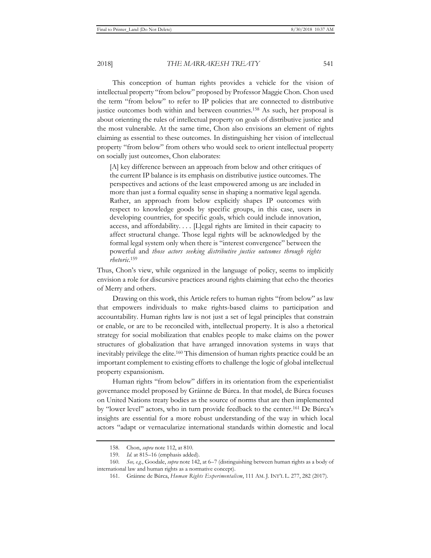This conception of human rights provides a vehicle for the vision of intellectual property "from below" proposed by Professor Maggie Chon. Chon used the term "from below" to refer to IP policies that are connected to distributive justice outcomes both within and between countries.158 As such, her proposal is about orienting the rules of intellectual property on goals of distributive justice and the most vulnerable. At the same time, Chon also envisions an element of rights claiming as essential to these outcomes. In distinguishing her vision of intellectual property "from below" from others who would seek to orient intellectual property on socially just outcomes, Chon elaborates:

[A] key difference between an approach from below and other critiques of the current IP balance is its emphasis on distributive justice outcomes. The perspectives and actions of the least empowered among us are included in more than just a formal equality sense in shaping a normative legal agenda. Rather, an approach from below explicitly shapes IP outcomes with respect to knowledge goods by specific groups, in this case, users in developing countries, for specific goals, which could include innovation, access, and affordability. . . . [L]egal rights are limited in their capacity to affect structural change. Those legal rights will be acknowledged by the formal legal system only when there is "interest convergence" between the powerful and *those actors seeking distributive justice outcomes through rights rhetoric*. 159

Thus, Chon's view, while organized in the language of policy, seems to implicitly envision a role for discursive practices around rights claiming that echo the theories of Merry and others.

Drawing on this work, this Article refers to human rights "from below" as law that empowers individuals to make rights-based claims to participation and accountability. Human rights law is not just a set of legal principles that constrain or enable, or are to be reconciled with, intellectual property. It is also a rhetorical strategy for social mobilization that enables people to make claims on the power structures of globalization that have arranged innovation systems in ways that inevitably privilege the elite.160 This dimension of human rights practice could be an important complement to existing efforts to challenge the logic of global intellectual property expansionism.

Human rights "from below" differs in its orientation from the experientialist governance model proposed by Gráinne de Búrca. In that model, de Búrca focuses on United Nations treaty bodies as the source of norms that are then implemented by "lower level" actors, who in turn provide feedback to the center.161 De Búrca's insights are essential for a more robust understanding of the way in which local actors "adapt or vernacularize international standards within domestic and local

<sup>158.</sup> Chon, *supra* note 112, at 810.

<sup>159</sup>*. Id.* at 815–16 (emphasis added).

<sup>160</sup>*. See, e.g.*, Goodale, *supra* note 142, at 6–7 (distinguishing between human rights as a body of international law and human rights as a normative concept).

<sup>161.</sup> Gráinne de Búrca, *Human Rights Experimentalism*, 111 AM. J. INT'L L. 277, 282 (2017).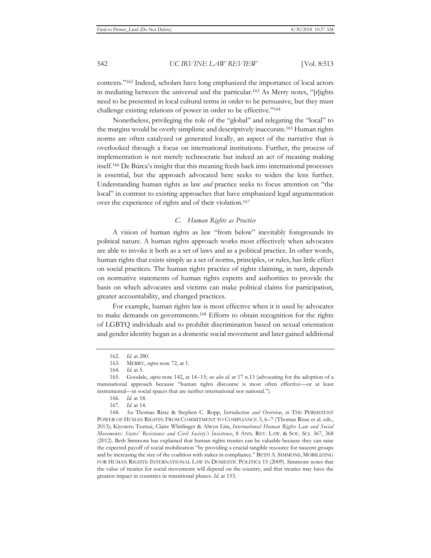contexts."162 Indeed, scholars have long emphasized the importance of local actors in mediating between the universal and the particular.163 As Merry notes, "[r]ights need to be presented in local cultural terms in order to be persuasive, but they must challenge existing relations of power in order to be effective."164

Nonetheless, privileging the role of the "global" and relegating the "local" to the margins would be overly simplistic and descriptively inaccurate.165 Human rights norms are often catalyzed or generated locally, an aspect of the narrative that is overlooked through a focus on international institutions. Further, the process of implementation is not merely technocratic but indeed an act of meaning making itself.166 De Búrca's insight that this meaning feeds back into international processes is essential, but the approach advocated here seeks to widen the lens further. Understanding human rights as law *and* practice seeks to focus attention on "the local" in contrast to existing approaches that have emphasized legal argumentation over the experience of rights and of their violation.167

## *C. Human Rights as Practice*

A vision of human rights as law "from below" inevitably foregrounds its political nature. A human rights approach works most effectively when advocates are able to invoke it both as a set of laws and as a political practice. In other words, human rights that exists simply as a set of norms, principles, or rules, has little effect on social practices. The human rights practice of rights claiming, in turn, depends on normative statements of human rights experts and authorities to provide the basis on which advocates and victims can make political claims for participation, greater accountability, and changed practices.

For example, human rights law is most effective when it is used by advocates to make demands on governments.168 Efforts to obtain recognition for the rights of LGBTQ individuals and to prohibit discrimination based on sexual orientation and gender identity began as a domestic social movement and later gained additional

<sup>162</sup>*. Id.* at 280.

<sup>163.</sup> MERRY, *supra* note 72, at 1.

<sup>164</sup>*. Id.* at 5.

<sup>165.</sup> Goodale, *supra* note 142, at 14–15; *see also id.* at 17 n.13 (advocating for the adoption of a transnational approach because "human rights discourse is most often effective—or at least instrumental—in social spaces that are neither international nor national.").

<sup>166</sup>*. Id.* at 18.

<sup>167</sup>*. Id.* at 14.

<sup>168</sup>*. See* Thomas Risse & Stephen C. Ropp, *Introduction and Overview*, *in* THE PERSISTENT POWER OF HUMAN RIGHTS: FROM COMMITMENT TO COMPLIANCE 3, 6–7 (Thomas Risse et al. eds., 2013); Kiyoteru Tsutsui, Claire Whitlinger & Alwyn Lim, *International Human Rights Law and Social Movements: States' Resistance and Civil Society's Insistence*, 8 ANN. REV. LAW. & SOC. SCI. 367, 368 (2012). Beth Simmons has explained that human rights treaties can be valuable because they can raise the expected payoff of social mobilization "by providing a crucial tangible resource for nascent groups and by increasing the size of the coalition with stakes in compliance." BETH A. SIMMONS, MOBILIZING FOR HUMAN RIGHTS: INTERNATIONAL LAW IN DOMESTIC POLITICS 15 (2009). Simmons notes that the value of treaties for social movements will depend on the country, and that treaties may have the greatest impact in countries in transitional phases. *Id.* at 153.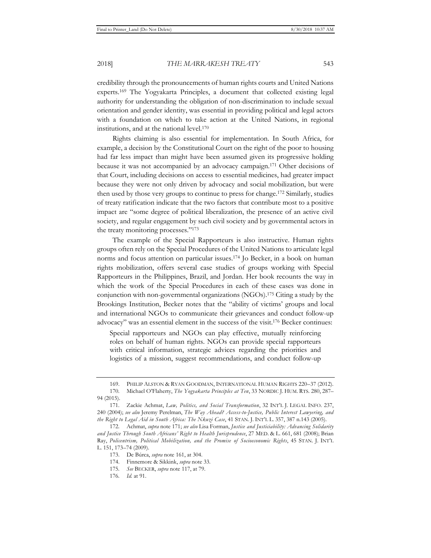credibility through the pronouncements of human rights courts and United Nations experts.169 The Yogyakarta Principles, a document that collected existing legal authority for understanding the obligation of non-discrimination to include sexual orientation and gender identity, was essential in providing political and legal actors with a foundation on which to take action at the United Nations, in regional institutions, and at the national level.170

Rights claiming is also essential for implementation. In South Africa, for example, a decision by the Constitutional Court on the right of the poor to housing had far less impact than might have been assumed given its progressive holding because it was not accompanied by an advocacy campaign.171 Other decisions of that Court, including decisions on access to essential medicines, had greater impact because they were not only driven by advocacy and social mobilization, but were then used by those very groups to continue to press for change.172 Similarly, studies of treaty ratification indicate that the two factors that contribute most to a positive impact are "some degree of political liberalization, the presence of an active civil society, and regular engagement by such civil society and by governmental actors in the treaty monitoring processes."173

The example of the Special Rapporteurs is also instructive. Human rights groups often rely on the Special Procedures of the United Nations to articulate legal norms and focus attention on particular issues.174 Jo Becker, in a book on human rights mobilization, offers several case studies of groups working with Special Rapporteurs in the Philippines, Brazil, and Jordan. Her book recounts the way in which the work of the Special Procedures in each of these cases was done in conjunction with non-governmental organizations (NGOs).175 Citing a study by the Brookings Institution, Becker notes that the "ability of victims' groups and local and international NGOs to communicate their grievances and conduct follow-up advocacy" was an essential element in the success of the visit.176 Becker continues:

Special rapporteurs and NGOs can play effective, mutually reinforcing roles on behalf of human rights. NGOs can provide special rapporteurs with critical information, strategic advices regarding the priorities and logistics of a mission, suggest recommendations, and conduct follow-up

<sup>169.</sup> PHILIP ALSTON & RYAN GOODMAN, INTERNATIONAL HUMAN RIGHTS 220–37 (2012).

<sup>170</sup>*.* Michael O'Flaherty, *The Yogyakarta Principles at Ten*, 33 NORDIC J. HUM. RTS. 280, 287– 94 (2015).

<sup>171.</sup> Zackie Achmat, *Law, Politics, and Social Transformation*, 32 INT'L J. LEGAL INFO. 237, 240 (2004); *see also* Jeremy Perelman, *The Way Ahead? Access-to-Justice, Public Interest Lawyering, and the Right to Legal Aid in South Africa: The Nkuzi Case*, 41 STAN. J. INT'L L. 357, 387 n.143 (2005).

<sup>172.</sup> Achmat, *supra* note 171; *see also* Lisa Forman, *Justice and Justiciability: Advancing Solidarity and Justice Through South Africans' Right to Health Jurisprudence*, 27 MED. & L. 661, 681 (2008); Brian Ray, *Policentrism, Political Mobilization, and the Promise of Socioeconomic Rights*, 45 STAN. J. INT'L L. 151, 173–74 (2009).

<sup>173.</sup> De Búrca, *supra* note 161, at 304.

<sup>174.</sup> Finnemore & Sikkink, *supra* note 33.

<sup>175</sup>*. See* BECKER, *supra* note 117, at 79.

<sup>176</sup>*. Id.* at 91.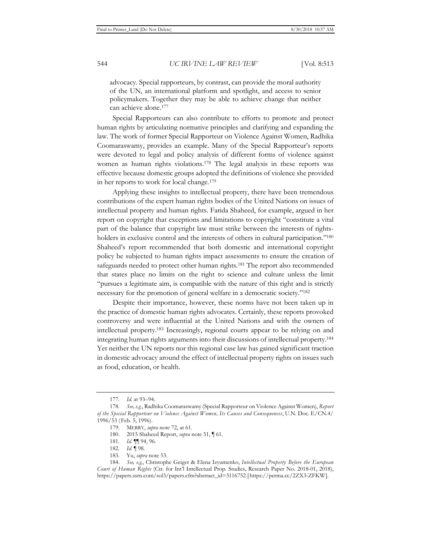advocacy. Special rapporteurs, by contrast, can provide the moral authority of the UN, an international platform and spotlight, and access to senior policymakers. Together they may be able to achieve change that neither can achieve alone.177

Special Rapporteurs can also contribute to efforts to promote and protect human rights by articulating normative principles and clarifying and expanding the law. The work of former Special Rapporteur on Violence Against Women, Radhika Coomaraswamy, provides an example. Many of the Special Rapporteur's reports were devoted to legal and policy analysis of different forms of violence against women as human rights violations.178 The legal analysis in these reports was effective because domestic groups adopted the definitions of violence she provided in her reports to work for local change.179

Applying these insights to intellectual property, there have been tremendous contributions of the expert human rights bodies of the United Nations on issues of intellectual property and human rights. Farida Shaheed, for example, argued in her report on copyright that exceptions and limitations to copyright "constitute a vital part of the balance that copyright law must strike between the interests of rightsholders in exclusive control and the interests of others in cultural participation."<sup>180</sup> Shaheed's report recommended that both domestic and international copyright policy be subjected to human rights impact assessments to ensure the creation of safeguards needed to protect other human rights.181 The report also recommended that states place no limits on the right to science and culture unless the limit "pursues a legitimate aim, is compatible with the nature of this right and is strictly necessary for the promotion of general welfare in a democratic society."182

Despite their importance, however, these norms have not been taken up in the practice of domestic human rights advocates. Certainly, these reports provoked controversy and were influential at the United Nations and with the owners of intellectual property.183 Increasingly, regional courts appear to be relying on and integrating human rights arguments into their discussions of intellectual property.184 Yet neither the UN reports nor this regional case law has gained significant traction in domestic advocacy around the effect of intellectual property rights on issues such as food, education, or health.

<sup>177</sup>*. Id.* at 93–94.

<sup>178</sup>*. See, e.g.*, Radhika Coomaraswamy (Special Rapporteur on Violence Against Women), *Report of the Special Rapporteur on Violence Against Women, Its Causes and Consequences*, U.N. Doc. E/CN.4/ 1996/53 (Feb. 5, 1996).

<sup>179.</sup> MERRY, *supra* note 72, at 61.

<sup>180. 2015</sup> Shaheed Report, *supra* note 51, ¶ 61.

<sup>181</sup>*. Id.* ¶¶ 94, 96.

<sup>182</sup>*. Id.* ¶ 98.

<sup>183.</sup> Yu, *supra* note 53.

<sup>184.</sup> *See, e.g.*, Christophe Geiger & Elena Izyumenko, *Intellectual Property Before the European Court of Human Rights* (Ctr. for Int'l Intellectual Prop. Studies, Research Paper No. 2018-01, 2018), https://papers.ssrn.com/sol3/papers.cfm?abstract\_id=3116752 [ https://perma.cc/2ZX3-ZFKW].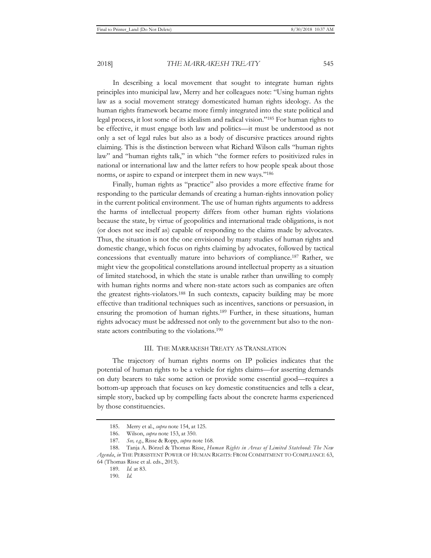In describing a local movement that sought to integrate human rights principles into municipal law, Merry and her colleagues note: "Using human rights law as a social movement strategy domesticated human rights ideology. As the human rights framework became more firmly integrated into the state political and legal process, it lost some of its idealism and radical vision."185 For human rights to be effective, it must engage both law and politics—it must be understood as not only a set of legal rules but also as a body of discursive practices around rights claiming. This is the distinction between what Richard Wilson calls "human rights law" and "human rights talk," in which "the former refers to positivized rules in national or international law and the latter refers to how people speak about those norms, or aspire to expand or interpret them in new ways."186

Finally, human rights as "practice" also provides a more effective frame for responding to the particular demands of creating a human-rights innovation policy in the current political environment. The use of human rights arguments to address the harms of intellectual property differs from other human rights violations because the state, by virtue of geopolitics and international trade obligations, is not (or does not see itself as) capable of responding to the claims made by advocates. Thus, the situation is not the one envisioned by many studies of human rights and domestic change, which focus on rights claiming by advocates, followed by tactical concessions that eventually mature into behaviors of compliance.187 Rather, we might view the geopolitical constellations around intellectual property as a situation of limited statehood, in which the state is unable rather than unwilling to comply with human rights norms and where non-state actors such as companies are often the greatest rights-violators.188 In such contexts, capacity building may be more effective than traditional techniques such as incentives, sanctions or persuasion, in ensuring the promotion of human rights.189 Further, in these situations, human rights advocacy must be addressed not only to the government but also to the nonstate actors contributing to the violations.190

#### III. THE MARRAKESH TREATY AS TRANSLATION

The trajectory of human rights norms on IP policies indicates that the potential of human rights to be a vehicle for rights claims—for asserting demands on duty bearers to take some action or provide some essential good—requires a bottom-up approach that focuses on key domestic constituencies and tells a clear, simple story, backed up by compelling facts about the concrete harms experienced by those constituencies.

<sup>185.</sup> Merry et al., *supra* note 154, at 125.

<sup>186.</sup> Wilson, *supra* note 153, at 350.

<sup>187</sup>*. See, e.g.*, Risse & Ropp, *supra* note 168.

<sup>188.</sup> Tanja A. Börzel & Thomas Risse, *Human Rights in Areas of Limited Statehood: The New Agenda*, *in* THE PERSISTENT POWER OF HUMAN RIGHTS: FROM COMMITMENT TO COMPLIANCE 63, 64 (Thomas Risse et al. eds., 2013).

<sup>189</sup>*. Id.* at 83.

<sup>190</sup>*. Id.*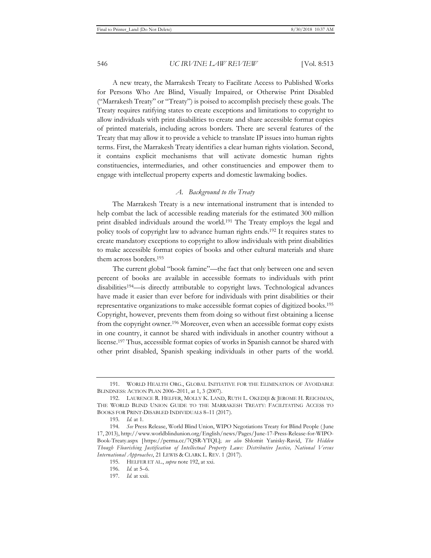A new treaty, the Marrakesh Treaty to Facilitate Access to Published Works for Persons Who Are Blind, Visually Impaired, or Otherwise Print Disabled ("Marrakesh Treaty" or "Treaty") is poised to accomplish precisely these goals. The Treaty requires ratifying states to create exceptions and limitations to copyright to allow individuals with print disabilities to create and share accessible format copies of printed materials, including across borders. There are several features of the Treaty that may allow it to provide a vehicle to translate IP issues into human rights terms. First, the Marrakesh Treaty identifies a clear human rights violation. Second, it contains explicit mechanisms that will activate domestic human rights constituencies, intermediaries, and other constituencies and empower them to engage with intellectual property experts and domestic lawmaking bodies.

# *A. Background to the Treaty*

The Marrakesh Treaty is a new international instrument that is intended to help combat the lack of accessible reading materials for the estimated 300 million print disabled individuals around the world.191 The Treaty employs the legal and policy tools of copyright law to advance human rights ends.192 It requires states to create mandatory exceptions to copyright to allow individuals with print disabilities to make accessible format copies of books and other cultural materials and share them across borders.193

The current global "book famine"—the fact that only between one and seven percent of books are available in accessible formats to individuals with print disabilities194—is directly attributable to copyright laws. Technological advances have made it easier than ever before for individuals with print disabilities or their representative organizations to make accessible format copies of digitized books.195 Copyright, however, prevents them from doing so without first obtaining a license from the copyright owner.196 Moreover, even when an accessible format copy exists in one country, it cannot be shared with individuals in another country without a license.197 Thus, accessible format copies of works in Spanish cannot be shared with other print disabled, Spanish speaking individuals in other parts of the world.

<sup>191.</sup> WORLD HEALTH ORG., GLOBAL INITIATIVE FOR THE ELIMINATION OF AVOIDABLE BLINDNESS: ACTION PLAN 2006–2011, at 1, 3 (2007).

<sup>192.</sup> LAURENCE R. HELFER, MOLLY K. LAND, RUTH L. OKEDIJI & JEROME H. REICHMAN, THE WORLD BLIND UNION GUIDE TO THE MARRAKESH TREATY: FACILITATING ACCESS TO BOOKS FOR PRINT-DISABLED INDIVIDUALS 8–11 (2017).

<sup>193</sup>*. Id.* at 1.

<sup>194</sup>*. See* Press Release, World Blind Union, WIPO Negotiations Treaty for Blind People ( June 17, 2013), http://www.worldblindunion.org/English/news/Pages/June-17-Press-Release-for-WIPO-Book-Treaty.aspx [ https://perma.cc/7QSR-YTQL]; *see also* Shlomit Yanisky-Ravid, *The Hidden Though Flourishing Justification of Intellectual Property Laws: Distributive Justice, National Versus International Approaches*, 21 LEWIS & CLARK L. REV. 1 (2017).

<sup>195.</sup> HELFER ET AL., *supra* note 192, at xxi.

<sup>196</sup>*. Id.* at 5–6.

<sup>197</sup>*. Id.* at xxii.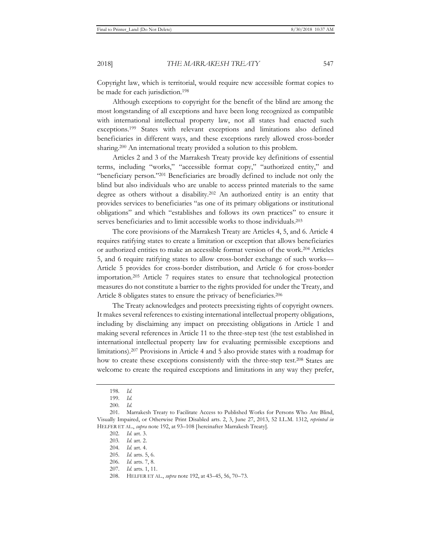Copyright law, which is territorial, would require new accessible format copies to be made for each jurisdiction.198

Although exceptions to copyright for the benefit of the blind are among the most longstanding of all exceptions and have been long recognized as compatible with international intellectual property law, not all states had enacted such exceptions.199 States with relevant exceptions and limitations also defined beneficiaries in different ways, and these exceptions rarely allowed cross-border sharing.200 An international treaty provided a solution to this problem.

Articles 2 and 3 of the Marrakesh Treaty provide key definitions of essential terms, including "works," "accessible format copy," "authorized entity," and "beneficiary person."201 Beneficiaries are broadly defined to include not only the blind but also individuals who are unable to access printed materials to the same degree as others without a disability.202 An authorized entity is an entity that provides services to beneficiaries "as one of its primary obligations or institutional obligations" and which "establishes and follows its own practices" to ensure it serves beneficiaries and to limit accessible works to those individuals.<sup>203</sup>

The core provisions of the Marrakesh Treaty are Articles 4, 5, and 6. Article 4 requires ratifying states to create a limitation or exception that allows beneficiaries or authorized entities to make an accessible format version of the work.204 Articles 5, and 6 require ratifying states to allow cross-border exchange of such works— Article 5 provides for cross-border distribution, and Article 6 for cross-border importation.205 Article 7 requires states to ensure that technological protection measures do not constitute a barrier to the rights provided for under the Treaty, and Article 8 obligates states to ensure the privacy of beneficiaries.<sup>206</sup>

The Treaty acknowledges and protects preexisting rights of copyright owners. It makes several references to existing international intellectual property obligations, including by disclaiming any impact on preexisting obligations in Article 1 and making several references in Article 11 to the three-step test (the test established in international intellectual property law for evaluating permissible exceptions and limitations).207 Provisions in Article 4 and 5 also provide states with a roadmap for how to create these exceptions consistently with the three-step test.208 States are welcome to create the required exceptions and limitations in any way they prefer,

<sup>198</sup>*. Id.*

<sup>199</sup>*. Id.*

<sup>200</sup>*. Id.*

<sup>201.</sup> Marrakesh Treaty to Facilitate Access to Published Works for Persons Who Are Blind, Visually Impaired, or Otherwise Print Disabled arts. 2, 3, June 27, 2013, 52 I.L.M. 1312, *reprinted in* HELFER ET AL., *supra* note 192, at 93–108 [hereinafter Marrakesh Treaty].

<sup>202</sup>*. Id.* art. 3.

<sup>203</sup>*. Id.* art. 2.

<sup>204</sup>*. Id.* art. 4.

<sup>205</sup>*. Id.* arts. 5, 6.

<sup>206</sup>*. Id.* arts. 7, 8.

<sup>207</sup>*. Id.* arts. 1, 11.

<sup>208.</sup> HELFER ET AL., *supra* note 192, at 43–45, 56, 70–73.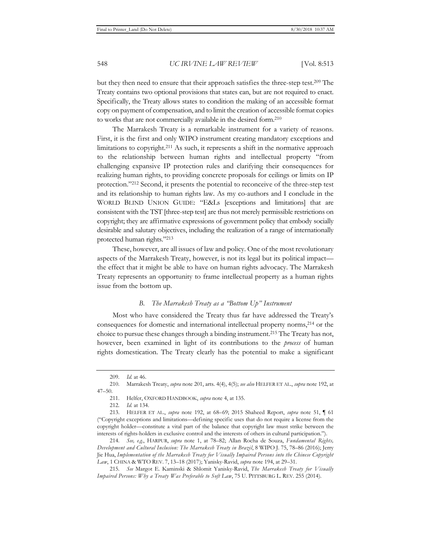but they then need to ensure that their approach satisfies the three-step test.209 The Treaty contains two optional provisions that states can, but are not required to enact. Specifically, the Treaty allows states to condition the making of an accessible format copy on payment of compensation, and to limit the creation of accessible format copies to works that are not commercially available in the desired form.210

The Marrakesh Treaty is a remarkable instrument for a variety of reasons. First, it is the first and only WIPO instrument creating mandatory exceptions and limitations to copyright.211 As such, it represents a shift in the normative approach to the relationship between human rights and intellectual property "from challenging expansive IP protection rules and clarifying their consequences for realizing human rights, to providing concrete proposals for ceilings or limits on IP protection."212 Second, it presents the potential to reconceive of the three-step test and its relationship to human rights law. As my co-authors and I conclude in the WORLD BLIND UNION GUIDE: "E&Ls [exceptions and limitations] that are consistent with the TST [three-step test] are thus not merely permissible restrictions on copyright; they are affirmative expressions of government policy that embody socially desirable and salutary objectives, including the realization of a range of internationally protected human rights."213

These, however, are all issues of law and policy. One of the most revolutionary aspects of the Marrakesh Treaty, however, is not its legal but its political impact the effect that it might be able to have on human rights advocacy. The Marrakesh Treaty represents an opportunity to frame intellectual property as a human rights issue from the bottom up.

# *B. The Marrakesh Treaty as a "Bottom Up" Instrument*

Most who have considered the Treaty thus far have addressed the Treaty's consequences for domestic and international intellectual property norms,214 or the choice to pursue these changes through a binding instrument.215 The Treaty has not, however, been examined in light of its contributions to the *process* of human rights domestication. The Treaty clearly has the potential to make a significant

<sup>209</sup>*. Id.* at 46.

<sup>210.</sup> Marrakesh Treaty, *supra* note 201, arts. 4(4), 4(5); *see also* HELFER ET AL., *supra* note 192, at 47–50.

<sup>211.</sup> Helfer, OXFORD HANDBOOK, *supra* note 4, at 135.

<sup>212</sup>*. Id.* at 134.

<sup>213.</sup> HELFER ET AL., *supra* note 192, at 68–69; 2015 Shaheed Report, *supra* note 51, ¶ 61 ("Copyright exceptions and limitations—defining specific uses that do not require a license from the copyright holder—constitute a vital part of the balance that copyright law must strike between the interests of rights-holders in exclusive control and the interests of others in cultural participation.").

<sup>214</sup>*. See, e.g.*, HARPUR, *supra* note 1, at 78–82; Allan Rocha de Souza, *Fundamental Rights, Development and Cultural Inclusion: The Marrakesh Treaty in Brazil*, 8 WIPO J. 75, 78–86 (2016); Jerry Jie Hua, *Implementation of the Marrakesh Treaty for Visually Impaired Persons into the Chinese Copyright Law*, 1 CHINA & WTO REV. 7, 13–18 (2017); Yanisky-Ravid, *supra* note 194, at 29–31.

<sup>215</sup>*. See* Margot E. Kaminski & Shlomit Yanisky-Ravid, *The Marrakesh Treaty for Visually Impaired Persons: Why a Treaty Was Preferable to Soft Law*, 75 U. PITTSBURG L. REV. 255 (2014).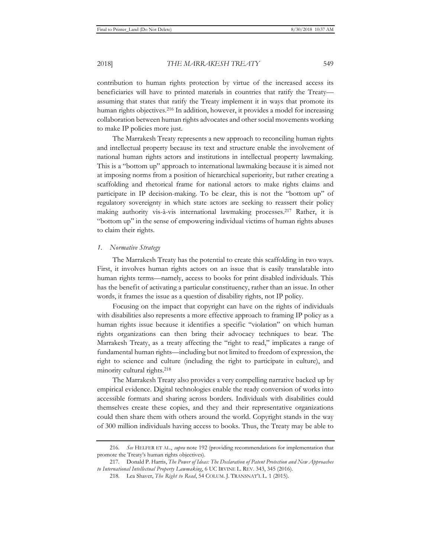contribution to human rights protection by virtue of the increased access its beneficiaries will have to printed materials in countries that ratify the Treaty assuming that states that ratify the Treaty implement it in ways that promote its human rights objectives.<sup>216</sup> In addition, however, it provides a model for increasing collaboration between human rights advocates and other social movements working to make IP policies more just.

The Marrakesh Treaty represents a new approach to reconciling human rights and intellectual property because its text and structure enable the involvement of national human rights actors and institutions in intellectual property lawmaking. This is a "bottom up" approach to international lawmaking because it is aimed not at imposing norms from a position of hierarchical superiority, but rather creating a scaffolding and rhetorical frame for national actors to make rights claims and participate in IP decision-making. To be clear, this is not the "bottom up" of regulatory sovereignty in which state actors are seeking to reassert their policy making authority vis-à-vis international lawmaking processes.217 Rather, it is "bottom up" in the sense of empowering individual victims of human rights abuses to claim their rights.

# *1. Normative Strategy*

The Marrakesh Treaty has the potential to create this scaffolding in two ways. First, it involves human rights actors on an issue that is easily translatable into human rights terms—namely, access to books for print disabled individuals. This has the benefit of activating a particular constituency, rather than an issue. In other words, it frames the issue as a question of disability rights, not IP policy.

Focusing on the impact that copyright can have on the rights of individuals with disabilities also represents a more effective approach to framing IP policy as a human rights issue because it identifies a specific "violation" on which human rights organizations can then bring their advocacy techniques to bear. The Marrakesh Treaty, as a treaty affecting the "right to read," implicates a range of fundamental human rights—including but not limited to freedom of expression, the right to science and culture (including the right to participate in culture), and minority cultural rights.218

The Marrakesh Treaty also provides a very compelling narrative backed up by empirical evidence. Digital technologies enable the ready conversion of works into accessible formats and sharing across borders. Individuals with disabilities could themselves create these copies, and they and their representative organizations could then share them with others around the world. Copyright stands in the way of 300 million individuals having access to books. Thus, the Treaty may be able to

<sup>216</sup>*. See* HELFER ET AL., *supra* note 192 (providing recommendations for implementation that promote the Treaty's human rights objectives).

<sup>217.</sup> Donald P. Harris, *The Power of Ideas: The Declaration of Patent Protection and New Approaches to International Intellectual Property Lawmaking*, 6 UC IRVINE L. REV. 343, 345 (2016).

<sup>218.</sup> Lea Shaver, *The Right to Read*, 54 COLUM. J. TRANSNAT'L L. 1 (2015).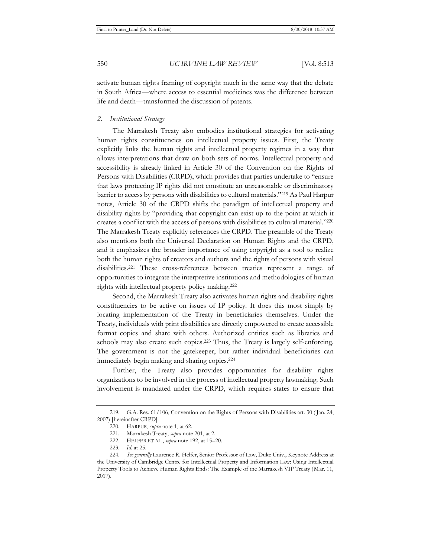activate human rights framing of copyright much in the same way that the debate in South Africa—where access to essential medicines was the difference between life and death—transformed the discussion of patents.

#### *2. Institutional Strategy*

The Marrakesh Treaty also embodies institutional strategies for activating human rights constituencies on intellectual property issues. First, the Treaty explicitly links the human rights and intellectual property regimes in a way that allows interpretations that draw on both sets of norms. Intellectual property and accessibility is already linked in Article 30 of the Convention on the Rights of Persons with Disabilities (CRPD), which provides that parties undertake to "ensure that laws protecting IP rights did not constitute an unreasonable or discriminatory barrier to access by persons with disabilities to cultural materials."219 As Paul Harpur notes, Article 30 of the CRPD shifts the paradigm of intellectual property and disability rights by "providing that copyright can exist up to the point at which it creates a conflict with the access of persons with disabilities to cultural material."220 The Marrakesh Treaty explicitly references the CRPD. The preamble of the Treaty also mentions both the Universal Declaration on Human Rights and the CRPD, and it emphasizes the broader importance of using copyright as a tool to realize both the human rights of creators and authors and the rights of persons with visual disabilities.221 These cross-references between treaties represent a range of opportunities to integrate the interpretive institutions and methodologies of human rights with intellectual property policy making.222

Second, the Marrakesh Treaty also activates human rights and disability rights constituencies to be active on issues of IP policy. It does this most simply by locating implementation of the Treaty in beneficiaries themselves. Under the Treaty, individuals with print disabilities are directly empowered to create accessible format copies and share with others. Authorized entities such as libraries and schools may also create such copies.223 Thus, the Treaty is largely self-enforcing. The government is not the gatekeeper, but rather individual beneficiaries can immediately begin making and sharing copies.224

Further, the Treaty also provides opportunities for disability rights organizations to be involved in the process of intellectual property lawmaking. Such involvement is mandated under the CRPD, which requires states to ensure that

<sup>219.</sup> G.A. Res. 61/106, Convention on the Rights of Persons with Disabilities art. 30 ( Jan. 24, 2007) [hereinafter CRPD].

<sup>220</sup>*.* HARPUR, *supra* note 1, at 62.

<sup>221</sup>*.* Marrakesh Treaty, *supra* note 201, at 2.

<sup>222.</sup> HELFER ET AL., *supra* note 192, at 15–20.

<sup>223</sup>*. Id.* at 25.

<sup>224</sup>*. See generally* Laurence R. Helfer, Senior Professor of Law, Duke Univ., Keynote Address at the University of Cambridge Centre for Intellectual Property and Information Law: Using Intellectual Property Tools to Achieve Human Rights Ends: The Example of the Marrakesh VIP Treaty (Mar. 11, 2017).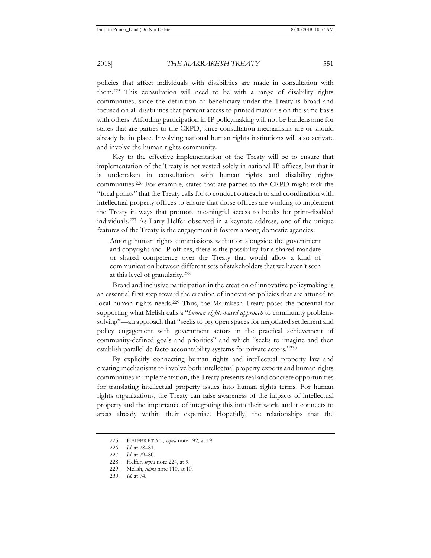policies that affect individuals with disabilities are made in consultation with them.225 This consultation will need to be with a range of disability rights communities, since the definition of beneficiary under the Treaty is broad and focused on all disabilities that prevent access to printed materials on the same basis with others. Affording participation in IP policymaking will not be burdensome for states that are parties to the CRPD, since consultation mechanisms are or should already be in place. Involving national human rights institutions will also activate and involve the human rights community.

Key to the effective implementation of the Treaty will be to ensure that implementation of the Treaty is not vested solely in national IP offices, but that it is undertaken in consultation with human rights and disability rights communities.226 For example, states that are parties to the CRPD might task the "focal points" that the Treaty calls for to conduct outreach to and coordination with intellectual property offices to ensure that those offices are working to implement the Treaty in ways that promote meaningful access to books for print-disabled individuals.227 As Larry Helfer observed in a keynote address, one of the unique features of the Treaty is the engagement it fosters among domestic agencies:

Among human rights commissions within or alongside the government and copyright and IP offices, there is the possibility for a shared mandate or shared competence over the Treaty that would allow a kind of communication between different sets of stakeholders that we haven't seen at this level of granularity.228

Broad and inclusive participation in the creation of innovative policymaking is an essential first step toward the creation of innovation policies that are attuned to local human rights needs.229 Thus, the Marrakesh Treaty poses the potential for supporting what Melish calls a "*human rights-based approach* to community problemsolving"—an approach that "seeks to pry open spaces for negotiated settlement and policy engagement with government actors in the practical achievement of community-defined goals and priorities" and which "seeks to imagine and then establish parallel de facto accountability systems for private actors."230

By explicitly connecting human rights and intellectual property law and creating mechanisms to involve both intellectual property experts and human rights communities in implementation, the Treaty presents real and concrete opportunities for translating intellectual property issues into human rights terms. For human rights organizations, the Treaty can raise awareness of the impacts of intellectual property and the importance of integrating this into their work, and it connects to areas already within their expertise. Hopefully, the relationships that the

<sup>225.</sup> HELFER ET AL., *supra* note 192, at 19.

<sup>226</sup>*. Id.* at 78–81.

<sup>227</sup>*. Id.* at 79–80.

<sup>228.</sup> Helfer, *supra* note 224, at 9.

<sup>229.</sup> Melish, *supra* note 110, at 10.

<sup>230</sup>*. Id.* at 74.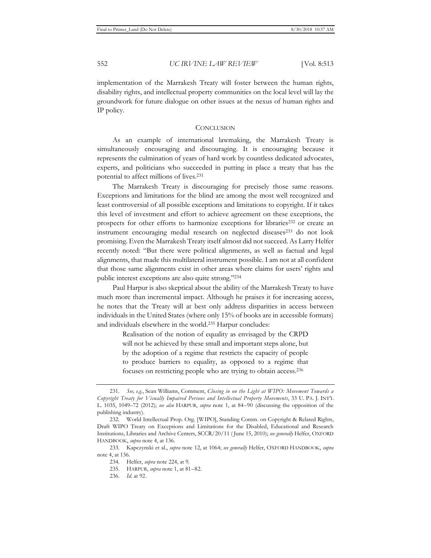implementation of the Marrakesh Treaty will foster between the human rights, disability rights, and intellectual property communities on the local level will lay the groundwork for future dialogue on other issues at the nexus of human rights and IP policy.

#### **CONCLUSION**

As an example of international lawmaking, the Marrakesh Treaty is simultaneously encouraging and discouraging. It is encouraging because it represents the culmination of years of hard work by countless dedicated advocates, experts, and politicians who succeeded in putting in place a treaty that has the potential to affect millions of lives.231

The Marrakesh Treaty is discouraging for precisely those same reasons. Exceptions and limitations for the blind are among the most well recognized and least controversial of all possible exceptions and limitations to copyright. If it takes this level of investment and effort to achieve agreement on these exceptions, the prospects for other efforts to harmonize exceptions for libraries232 or create an instrument encouraging medial research on neglected diseases<sup>233</sup> do not look promising. Even the Marrakesh Treaty itself almost did not succeed. As Larry Helfer recently noted: "But there were political alignments, as well as factual and legal alignments, that made this multilateral instrument possible. I am not at all confident that those same alignments exist in other areas where claims for users' rights and public interest exceptions are also quite strong."234

Paul Harpur is also skeptical about the ability of the Marrakesh Treaty to have much more than incremental impact. Although he praises it for increasing access, he notes that the Treaty will at best only address disparities in access between individuals in the United States (where only 15% of books are in accessible formats) and individuals elsewhere in the world.235 Harpur concludes:

> Realisation of the notion of equality as envisaged by the CRPD will not be achieved by these small and important steps alone, but by the adoption of a regime that restricts the capacity of people to produce barriers to equality, as opposed to a regime that focuses on restricting people who are trying to obtain access.236

<sup>231</sup>*. See, e.g.*, Sean Williams, Comment, *Closing in on the Light at WIPO: Movement Towards a Copyright Treaty for Visually Impaired Persons and Intellectual Property Movements*, 33 U. PA. J. INT'L L. 1035, 1049–72 (2012); *see also* HARPUR, *supra* note 1, at 84–90 (discussing the opposition of the publishing industry).

<sup>232.</sup> World Intellectual Prop. Org. [WIPO], Standing Comm. on Copyright & Related Rights, Draft WIPO Treaty on Exceptions and Limitations for the Disabled, Educational and Research Institutions, Libraries and Archive Centers, SCCR/20/11 ( June 15, 2010); *see generally* Helfer, OXFORD HANDBOOK, *supra* note 4, at 136.

<sup>233.</sup> Kapczynski et al., *supra* note 12, at 1064; *see generally* Helfer, OXFORD HANDBOOK, *supra* note 4, at 136.

<sup>234.</sup> Helfer, *supra* note 224, at 9.

<sup>235.</sup> HARPUR, *supra* note 1, at 81–82.

<sup>236.</sup> *Id.* at 92.